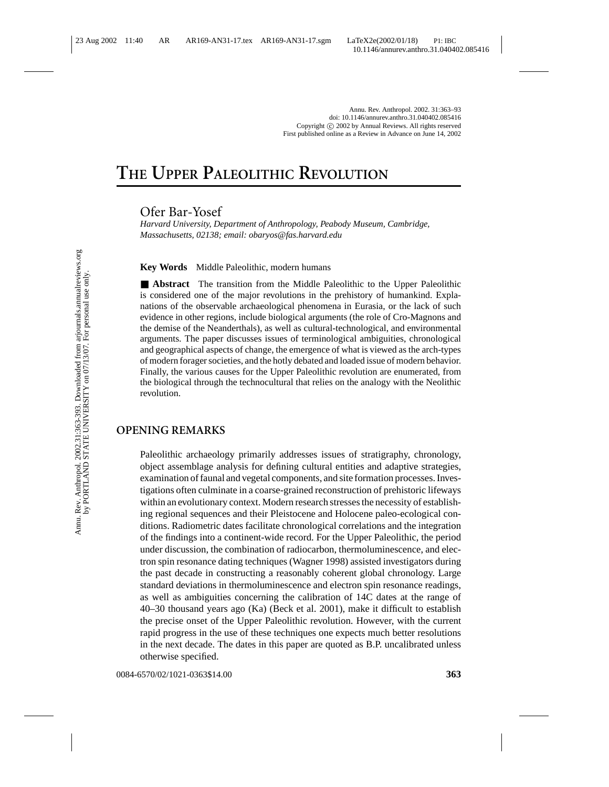# **THE UPPER PALEOLITHIC REVOLUTION**

Ofer Bar-Yosef

*Harvard University, Department of Anthropology, Peabody Museum, Cambridge, Massachusetts, 02138; email: obaryos@fas.harvard.edu*

**Key Words** Middle Paleolithic, modern humans

■ **Abstract** The transition from the Middle Paleolithic to the Upper Paleolithic is considered one of the major revolutions in the prehistory of humankind. Explanations of the observable archaeological phenomena in Eurasia, or the lack of such evidence in other regions, include biological arguments (the role of Cro-Magnons and the demise of the Neanderthals), as well as cultural-technological, and environmental arguments. The paper discusses issues of terminological ambiguities, chronological and geographical aspects of change, the emergence of what is viewed as the arch-types of modern forager societies, and the hotly debated and loaded issue of modern behavior. Finally, the various causes for the Upper Paleolithic revolution are enumerated, from the biological through the technocultural that relies on the analogy with the Neolithic revolution.

## **OPENING REMARKS**

Paleolithic archaeology primarily addresses issues of stratigraphy, chronology, object assemblage analysis for defining cultural entities and adaptive strategies, examination of faunal and vegetal components, and site formation processes. Investigations often culminate in a coarse-grained reconstruction of prehistoric lifeways within an evolutionary context. Modern research stresses the necessity of establishing regional sequences and their Pleistocene and Holocene paleo-ecological conditions. Radiometric dates facilitate chronological correlations and the integration of the findings into a continent-wide record. For the Upper Paleolithic, the period under discussion, the combination of radiocarbon, thermoluminescence, and electron spin resonance dating techniques (Wagner 1998) assisted investigators during the past decade in constructing a reasonably coherent global chronology. Large standard deviations in thermoluminescence and electron spin resonance readings, as well as ambiguities concerning the calibration of 14C dates at the range of 40–30 thousand years ago (Ka) (Beck et al. 2001), make it difficult to establish the precise onset of the Upper Paleolithic revolution. However, with the current rapid progress in the use of these techniques one expects much better resolutions in the next decade. The dates in this paper are quoted as B.P. uncalibrated unless otherwise specified.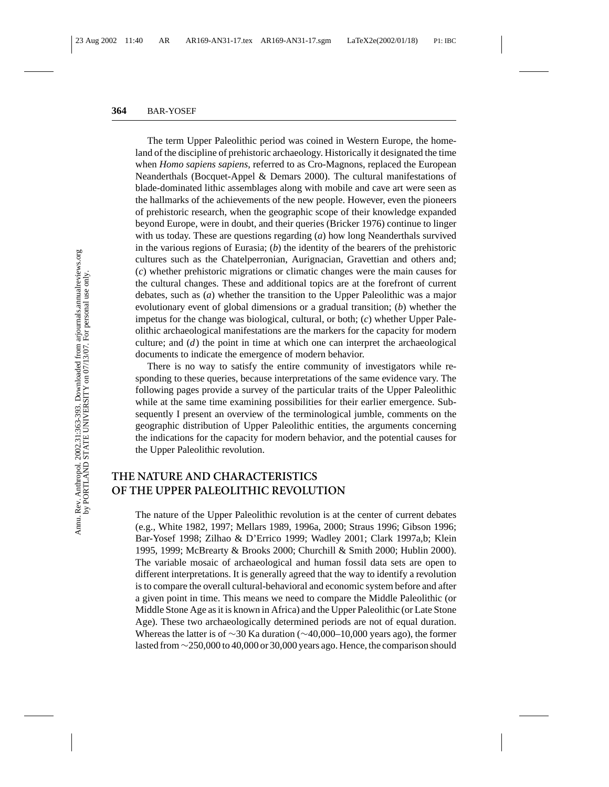The term Upper Paleolithic period was coined in Western Europe, the homeland of the discipline of prehistoric archaeology. Historically it designated the time when *Homo sapiens sapiens*, referred to as Cro-Magnons, replaced the European Neanderthals (Bocquet-Appel & Demars 2000). The cultural manifestations of blade-dominated lithic assemblages along with mobile and cave art were seen as the hallmarks of the achievements of the new people. However, even the pioneers of prehistoric research, when the geographic scope of their knowledge expanded beyond Europe, were in doubt, and their queries (Bricker 1976) continue to linger with us today. These are questions regarding (*a*) how long Neanderthals survived in the various regions of Eurasia; (*b*) the identity of the bearers of the prehistoric cultures such as the Chatelperronian, Aurignacian, Gravettian and others and; (*c*) whether prehistoric migrations or climatic changes were the main causes for the cultural changes. These and additional topics are at the forefront of current debates, such as (*a*) whether the transition to the Upper Paleolithic was a major evolutionary event of global dimensions or a gradual transition; (*b*) whether the impetus for the change was biological, cultural, or both; (*c*) whether Upper Paleolithic archaeological manifestations are the markers for the capacity for modern culture; and (*d*) the point in time at which one can interpret the archaeological documents to indicate the emergence of modern behavior.

There is no way to satisfy the entire community of investigators while responding to these queries, because interpretations of the same evidence vary. The following pages provide a survey of the particular traits of the Upper Paleolithic while at the same time examining possibilities for their earlier emergence. Subsequently I present an overview of the terminological jumble, comments on the geographic distribution of Upper Paleolithic entities, the arguments concerning the indications for the capacity for modern behavior, and the potential causes for the Upper Paleolithic revolution.

# **THE NATURE AND CHARACTERISTICS OF THE UPPER PALEOLITHIC REVOLUTION**

The nature of the Upper Paleolithic revolution is at the center of current debates (e.g., White 1982, 1997; Mellars 1989, 1996a, 2000; Straus 1996; Gibson 1996; Bar-Yosef 1998; Zilhao & D'Errico 1999; Wadley 2001; Clark 1997a,b; Klein 1995, 1999; McBrearty & Brooks 2000; Churchill & Smith 2000; Hublin 2000). The variable mosaic of archaeological and human fossil data sets are open to different interpretations. It is generally agreed that the way to identify a revolution is to compare the overall cultural-behavioral and economic system before and after a given point in time. This means we need to compare the Middle Paleolithic (or Middle Stone Age as it is known in Africa) and the Upper Paleolithic (or Late Stone Age). These two archaeologically determined periods are not of equal duration. Whereas the latter is of ∼30 Ka duration (∼40,000–10,000 years ago), the former lasted from∼250,000 to 40,000 or 30,000 years ago. Hence, the comparison should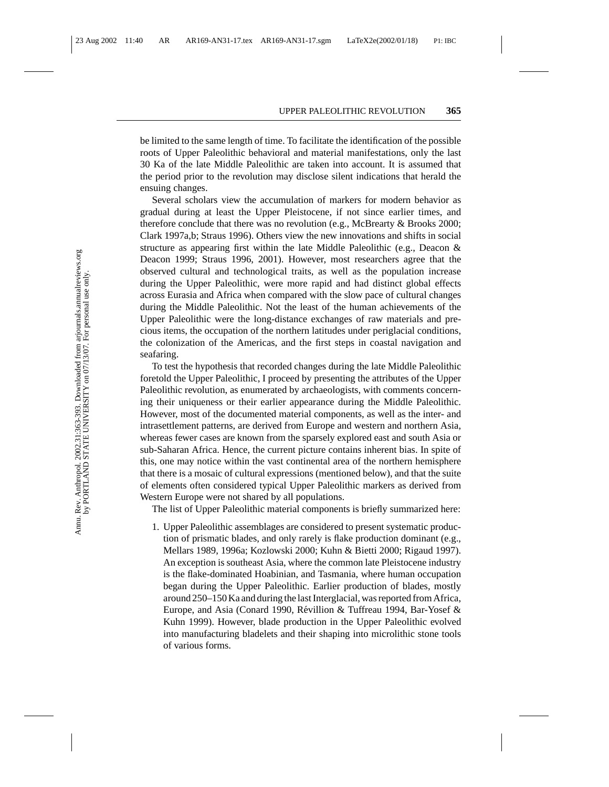be limited to the same length of time. To facilitate the identification of the possible roots of Upper Paleolithic behavioral and material manifestations, only the last 30 Ka of the late Middle Paleolithic are taken into account. It is assumed that the period prior to the revolution may disclose silent indications that herald the ensuing changes.

Several scholars view the accumulation of markers for modern behavior as gradual during at least the Upper Pleistocene, if not since earlier times, and therefore conclude that there was no revolution (e.g., McBrearty & Brooks 2000; Clark 1997a,b; Straus 1996). Others view the new innovations and shifts in social structure as appearing first within the late Middle Paleolithic (e.g., Deacon & Deacon 1999; Straus 1996, 2001). However, most researchers agree that the observed cultural and technological traits, as well as the population increase during the Upper Paleolithic, were more rapid and had distinct global effects across Eurasia and Africa when compared with the slow pace of cultural changes during the Middle Paleolithic. Not the least of the human achievements of the Upper Paleolithic were the long-distance exchanges of raw materials and precious items, the occupation of the northern latitudes under periglacial conditions, the colonization of the Americas, and the first steps in coastal navigation and seafaring.

To test the hypothesis that recorded changes during the late Middle Paleolithic foretold the Upper Paleolithic, I proceed by presenting the attributes of the Upper Paleolithic revolution, as enumerated by archaeologists, with comments concerning their uniqueness or their earlier appearance during the Middle Paleolithic. However, most of the documented material components, as well as the inter- and intrasettlement patterns, are derived from Europe and western and northern Asia, whereas fewer cases are known from the sparsely explored east and south Asia or sub-Saharan Africa. Hence, the current picture contains inherent bias. In spite of this, one may notice within the vast continental area of the northern hemisphere that there is a mosaic of cultural expressions (mentioned below), and that the suite of elements often considered typical Upper Paleolithic markers as derived from Western Europe were not shared by all populations.

The list of Upper Paleolithic material components is briefly summarized here:

1. Upper Paleolithic assemblages are considered to present systematic production of prismatic blades, and only rarely is flake production dominant (e.g., Mellars 1989, 1996a; Kozlowski 2000; Kuhn & Bietti 2000; Rigaud 1997). An exception is southeast Asia, where the common late Pleistocene industry is the flake-dominated Hoabinian, and Tasmania, where human occupation began during the Upper Paleolithic. Earlier production of blades, mostly around 250–150 Ka and during the last Interglacial, was reported from Africa, Europe, and Asia (Conard 1990, Révillion & Tuffreau 1994, Bar-Yosef & Kuhn 1999). However, blade production in the Upper Paleolithic evolved into manufacturing bladelets and their shaping into microlithic stone tools of various forms.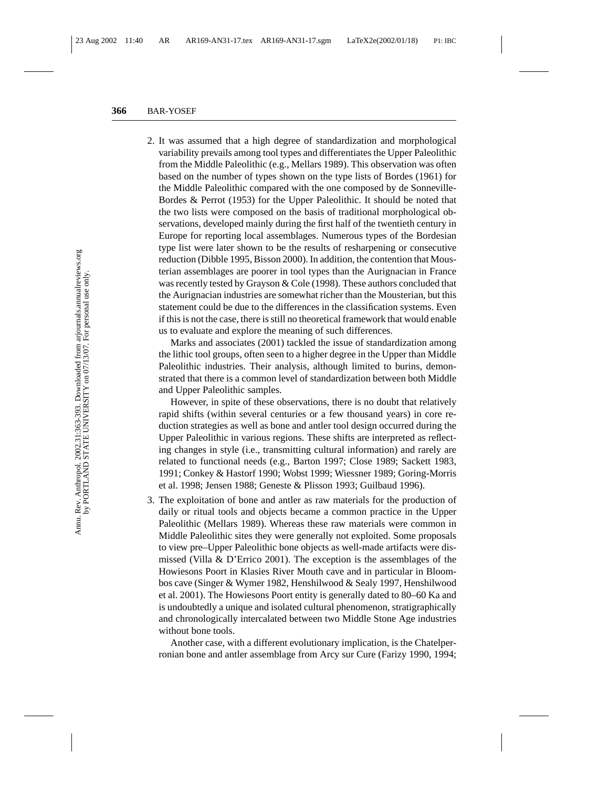2. It was assumed that a high degree of standardization and morphological variability prevails among tool types and differentiates the Upper Paleolithic from the Middle Paleolithic (e.g., Mellars 1989). This observation was often based on the number of types shown on the type lists of Bordes (1961) for the Middle Paleolithic compared with the one composed by de Sonneville-Bordes & Perrot (1953) for the Upper Paleolithic. It should be noted that the two lists were composed on the basis of traditional morphological observations, developed mainly during the first half of the twentieth century in Europe for reporting local assemblages. Numerous types of the Bordesian type list were later shown to be the results of resharpening or consecutive reduction (Dibble 1995, Bisson 2000). In addition, the contention that Mousterian assemblages are poorer in tool types than the Aurignacian in France was recently tested by Grayson & Cole (1998). These authors concluded that the Aurignacian industries are somewhat richer than the Mousterian, but this statement could be due to the differences in the classification systems. Even if this is not the case, there is still no theoretical framework that would enable us to evaluate and explore the meaning of such differences.

Marks and associates (2001) tackled the issue of standardization among the lithic tool groups, often seen to a higher degree in the Upper than Middle Paleolithic industries. Their analysis, although limited to burins, demonstrated that there is a common level of standardization between both Middle and Upper Paleolithic samples.

However, in spite of these observations, there is no doubt that relatively rapid shifts (within several centuries or a few thousand years) in core reduction strategies as well as bone and antler tool design occurred during the Upper Paleolithic in various regions. These shifts are interpreted as reflecting changes in style (i.e., transmitting cultural information) and rarely are related to functional needs (e.g., Barton 1997; Close 1989; Sackett 1983, 1991; Conkey & Hastorf 1990; Wobst 1999; Wiessner 1989; Goring-Morris et al. 1998; Jensen 1988; Geneste & Plisson 1993; Guilbaud 1996).

3. The exploitation of bone and antler as raw materials for the production of daily or ritual tools and objects became a common practice in the Upper Paleolithic (Mellars 1989). Whereas these raw materials were common in Middle Paleolithic sites they were generally not exploited. Some proposals to view pre–Upper Paleolithic bone objects as well-made artifacts were dismissed (Villa & D'Errico 2001). The exception is the assemblages of the Howiesons Poort in Klasies River Mouth cave and in particular in Bloombos cave (Singer & Wymer 1982, Henshilwood & Sealy 1997, Henshilwood et al. 2001). The Howiesons Poort entity is generally dated to 80–60 Ka and is undoubtedly a unique and isolated cultural phenomenon, stratigraphically and chronologically intercalated between two Middle Stone Age industries without bone tools.

Another case, with a different evolutionary implication, is the Chatelperronian bone and antler assemblage from Arcy sur Cure (Farizy 1990, 1994;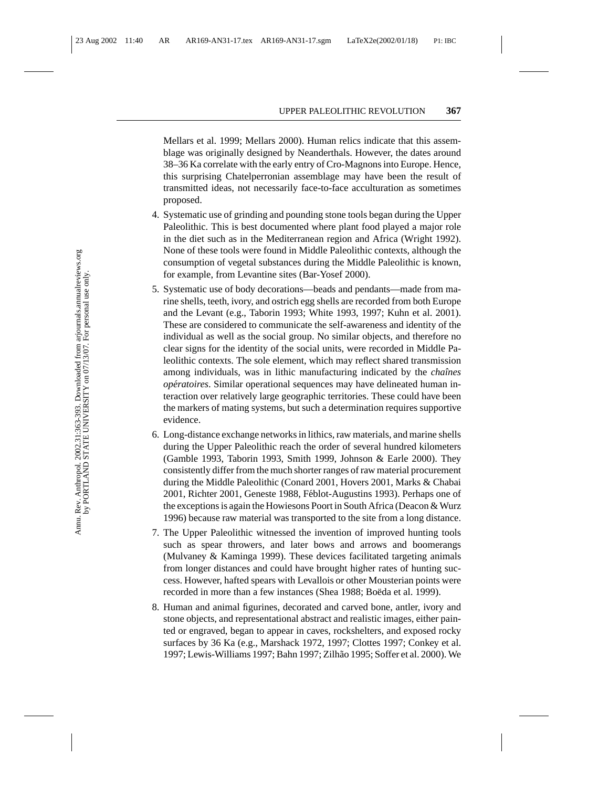Mellars et al. 1999; Mellars 2000). Human relics indicate that this assemblage was originally designed by Neanderthals. However, the dates around 38–36 Ka correlate with the early entry of Cro-Magnons into Europe. Hence, this surprising Chatelperronian assemblage may have been the result of transmitted ideas, not necessarily face-to-face acculturation as sometimes proposed.

- 4. Systematic use of grinding and pounding stone tools began during the Upper Paleolithic. This is best documented where plant food played a major role in the diet such as in the Mediterranean region and Africa (Wright 1992). None of these tools were found in Middle Paleolithic contexts, although the consumption of vegetal substances during the Middle Paleolithic is known, for example, from Levantine sites (Bar-Yosef 2000).
- 5. Systematic use of body decorations—beads and pendants—made from marine shells, teeth, ivory, and ostrich egg shells are recorded from both Europe and the Levant (e.g., Taborin 1993; White 1993, 1997; Kuhn et al. 2001). These are considered to communicate the self-awareness and identity of the individual as well as the social group. No similar objects, and therefore no clear signs for the identity of the social units, were recorded in Middle Paleolithic contexts. The sole element, which may reflect shared transmission among individuals, was in lithic manufacturing indicated by the *chaˆınes operatoires ´* . Similar operational sequences may have delineated human interaction over relatively large geographic territories. These could have been the markers of mating systems, but such a determination requires supportive evidence.
- 6. Long-distance exchange networks in lithics, raw materials, and marine shells during the Upper Paleolithic reach the order of several hundred kilometers (Gamble 1993, Taborin 1993, Smith 1999, Johnson & Earle 2000). They consistently differ from the much shorter ranges of raw material procurement during the Middle Paleolithic (Conard 2001, Hovers 2001, Marks & Chabai 2001, Richter 2001, Geneste 1988, Féblot-Augustins 1993). Perhaps one of the exceptions is again the Howiesons Poort in South Africa (Deacon & Wurz 1996) because raw material was transported to the site from a long distance.
- 7. The Upper Paleolithic witnessed the invention of improved hunting tools such as spear throwers, and later bows and arrows and boomerangs (Mulvaney & Kaminga 1999). These devices facilitated targeting animals from longer distances and could have brought higher rates of hunting success. However, hafted spears with Levallois or other Mousterian points were recorded in more than a few instances (Shea 1988; Boëda et al. 1999).
- 8. Human and animal figurines, decorated and carved bone, antler, ivory and stone objects, and representational abstract and realistic images, either painted or engraved, began to appear in caves, rockshelters, and exposed rocky surfaces by 36 Ka (e.g., Marshack 1972, 1997; Clottes 1997; Conkey et al. 1997; Lewis-Williams 1997; Bahn 1997; Zilh˜ao 1995; Soffer et al. 2000). We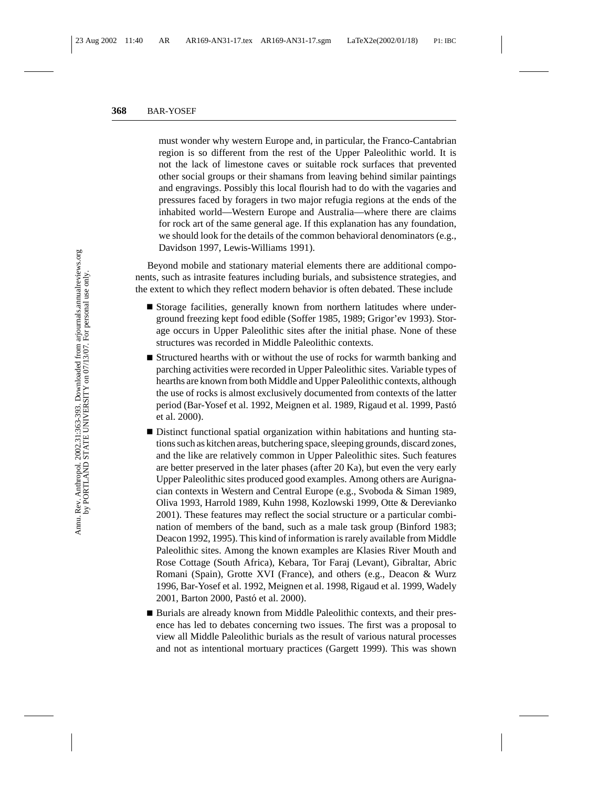must wonder why western Europe and, in particular, the Franco-Cantabrian region is so different from the rest of the Upper Paleolithic world. It is not the lack of limestone caves or suitable rock surfaces that prevented other social groups or their shamans from leaving behind similar paintings and engravings. Possibly this local flourish had to do with the vagaries and pressures faced by foragers in two major refugia regions at the ends of the inhabited world—Western Europe and Australia—where there are claims for rock art of the same general age. If this explanation has any foundation, we should look for the details of the common behavioral denominators (e.g., Davidson 1997, Lewis-Williams 1991).

Beyond mobile and stationary material elements there are additional components, such as intrasite features including burials, and subsistence strategies, and the extent to which they reflect modern behavior is often debated. These include

- Storage facilities, generally known from northern latitudes where underground freezing kept food edible (Soffer 1985, 1989; Grigor'ev 1993). Storage occurs in Upper Paleolithic sites after the initial phase. None of these structures was recorded in Middle Paleolithic contexts.
- Structured hearths with or without the use of rocks for warmth banking and parching activities were recorded in Upper Paleolithic sites. Variable types of hearths are known from both Middle and Upper Paleolithic contexts, although the use of rocks is almost exclusively documented from contexts of the latter period (Bar-Yosef et al. 1992, Meignen et al. 1989, Rigaud et al. 1999, Pastó et al. 2000).
- Distinct functional spatial organization within habitations and hunting stations such as kitchen areas, butchering space, sleeping grounds, discard zones, and the like are relatively common in Upper Paleolithic sites. Such features are better preserved in the later phases (after 20 Ka), but even the very early Upper Paleolithic sites produced good examples. Among others are Aurignacian contexts in Western and Central Europe (e.g., Svoboda & Siman 1989, Oliva 1993, Harrold 1989, Kuhn 1998, Kozlowski 1999, Otte & Derevianko 2001). These features may reflect the social structure or a particular combination of members of the band, such as a male task group (Binford 1983; Deacon 1992, 1995). This kind of information is rarely available from Middle Paleolithic sites. Among the known examples are Klasies River Mouth and Rose Cottage (South Africa), Kebara, Tor Faraj (Levant), Gibraltar, Abric Romani (Spain), Grotte XVI (France), and others (e.g., Deacon & Wurz 1996, Bar-Yosef et al. 1992, Meignen et al. 1998, Rigaud et al. 1999, Wadely 2001, Barton 2000, Pastó et al. 2000).
- Burials are already known from Middle Paleolithic contexts, and their presence has led to debates concerning two issues. The first was a proposal to view all Middle Paleolithic burials as the result of various natural processes and not as intentional mortuary practices (Gargett 1999). This was shown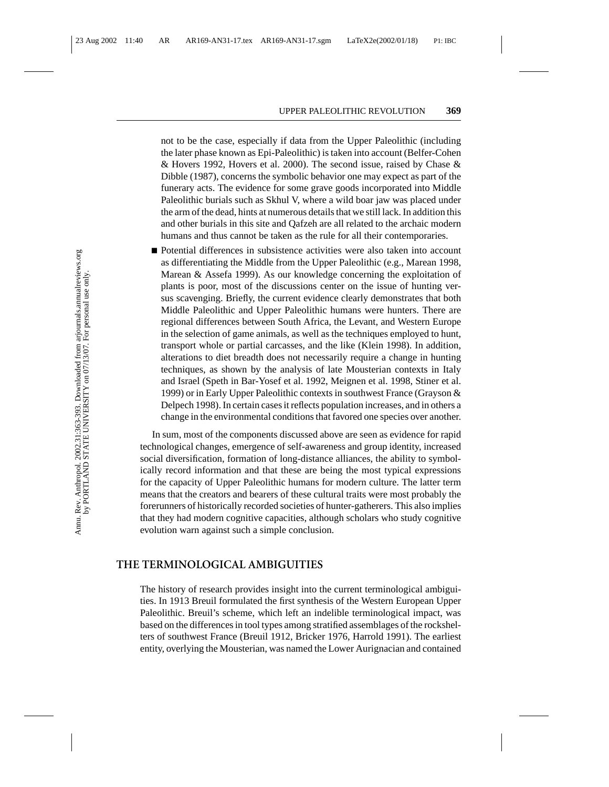not to be the case, especially if data from the Upper Paleolithic (including the later phase known as Epi-Paleolithic) is taken into account (Belfer-Cohen & Hovers 1992, Hovers et al. 2000). The second issue, raised by Chase & Dibble (1987), concerns the symbolic behavior one may expect as part of the funerary acts. The evidence for some grave goods incorporated into Middle Paleolithic burials such as Skhul V, where a wild boar jaw was placed under the arm of the dead, hints at numerous details that we still lack. In addition this and other burials in this site and Qafzeh are all related to the archaic modern humans and thus cannot be taken as the rule for all their contemporaries.

■ Potential differences in subsistence activities were also taken into account as differentiating the Middle from the Upper Paleolithic (e.g., Marean 1998, Marean & Assefa 1999). As our knowledge concerning the exploitation of plants is poor, most of the discussions center on the issue of hunting versus scavenging. Briefly, the current evidence clearly demonstrates that both Middle Paleolithic and Upper Paleolithic humans were hunters. There are regional differences between South Africa, the Levant, and Western Europe in the selection of game animals, as well as the techniques employed to hunt, transport whole or partial carcasses, and the like (Klein 1998). In addition, alterations to diet breadth does not necessarily require a change in hunting techniques, as shown by the analysis of late Mousterian contexts in Italy and Israel (Speth in Bar-Yosef et al. 1992, Meignen et al. 1998, Stiner et al. 1999) or in Early Upper Paleolithic contexts in southwest France (Grayson & Delpech 1998). In certain cases it reflects population increases, and in others a change in the environmental conditions that favored one species over another.

In sum, most of the components discussed above are seen as evidence for rapid technological changes, emergence of self-awareness and group identity, increased social diversification, formation of long-distance alliances, the ability to symbolically record information and that these are being the most typical expressions for the capacity of Upper Paleolithic humans for modern culture. The latter term means that the creators and bearers of these cultural traits were most probably the forerunners of historically recorded societies of hunter-gatherers. This also implies that they had modern cognitive capacities, although scholars who study cognitive evolution warn against such a simple conclusion.

### **THE TERMINOLOGICAL AMBIGUITIES**

The history of research provides insight into the current terminological ambiguities. In 1913 Breuil formulated the first synthesis of the Western European Upper Paleolithic. Breuil's scheme, which left an indelible terminological impact, was based on the differences in tool types among stratified assemblages of the rockshelters of southwest France (Breuil 1912, Bricker 1976, Harrold 1991). The earliest entity, overlying the Mousterian, was named the Lower Aurignacian and contained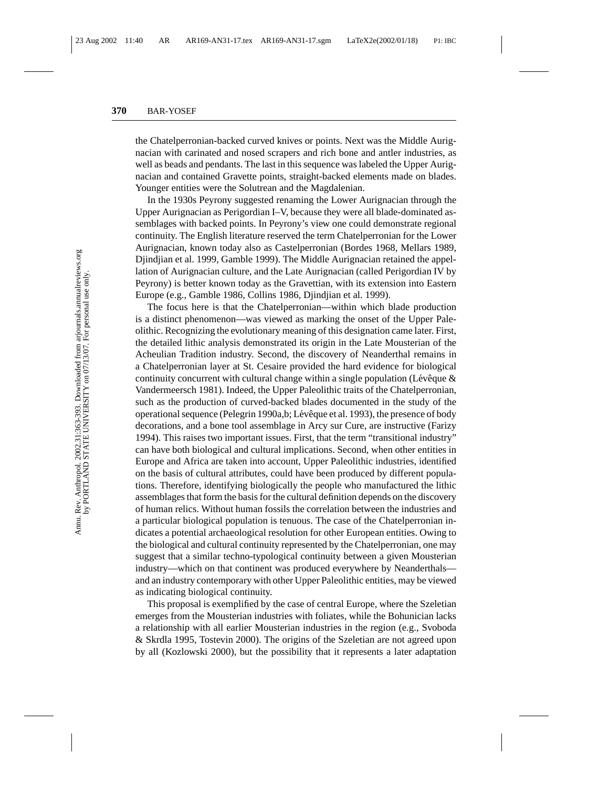the Chatelperronian-backed curved knives or points. Next was the Middle Aurignacian with carinated and nosed scrapers and rich bone and antler industries, as well as beads and pendants. The last in this sequence was labeled the Upper Aurignacian and contained Gravette points, straight-backed elements made on blades. Younger entities were the Solutrean and the Magdalenian.

In the 1930s Peyrony suggested renaming the Lower Aurignacian through the Upper Aurignacian as Perigordian I–V, because they were all blade-dominated assemblages with backed points. In Peyrony's view one could demonstrate regional continuity. The English literature reserved the term Chatelperronian for the Lower Aurignacian, known today also as Castelperronian (Bordes 1968, Mellars 1989, Djindjian et al. 1999, Gamble 1999). The Middle Aurignacian retained the appellation of Aurignacian culture, and the Late Aurignacian (called Perigordian IV by Peyrony) is better known today as the Gravettian, with its extension into Eastern Europe (e.g., Gamble 1986, Collins 1986, Djindjian et al. 1999).

The focus here is that the Chatelperronian—within which blade production is a distinct phenomenon—was viewed as marking the onset of the Upper Paleolithic. Recognizing the evolutionary meaning of this designation came later. First, the detailed lithic analysis demonstrated its origin in the Late Mousterian of the Acheulian Tradition industry. Second, the discovery of Neanderthal remains in a Chatelperronian layer at St. Cesaire provided the hard evidence for biological continuity concurrent with cultural change within a single population (Lévêque  $\&$ Vandermeersch 1981). Indeed, the Upper Paleolithic traits of the Chatelperronian, such as the production of curved-backed blades documented in the study of the operational sequence (Pelegrin 1990a,b; Lévêque et al. 1993), the presence of body decorations, and a bone tool assemblage in Arcy sur Cure, are instructive (Farizy 1994). This raises two important issues. First, that the term "transitional industry" can have both biological and cultural implications. Second, when other entities in Europe and Africa are taken into account, Upper Paleolithic industries, identified on the basis of cultural attributes, could have been produced by different populations. Therefore, identifying biologically the people who manufactured the lithic assemblages that form the basis for the cultural definition depends on the discovery of human relics. Without human fossils the correlation between the industries and a particular biological population is tenuous. The case of the Chatelperronian indicates a potential archaeological resolution for other European entities. Owing to the biological and cultural continuity represented by the Chatelperronian, one may suggest that a similar techno-typological continuity between a given Mousterian industry—which on that continent was produced everywhere by Neanderthals and an industry contemporary with other Upper Paleolithic entities, may be viewed as indicating biological continuity.

This proposal is exemplified by the case of central Europe, where the Szeletian emerges from the Mousterian industries with foliates, while the Bohunician lacks a relationship with all earlier Mousterian industries in the region (e.g., Svoboda & Skrdla 1995, Tostevin 2000). The origins of the Szeletian are not agreed upon by all (Kozlowski 2000), but the possibility that it represents a later adaptation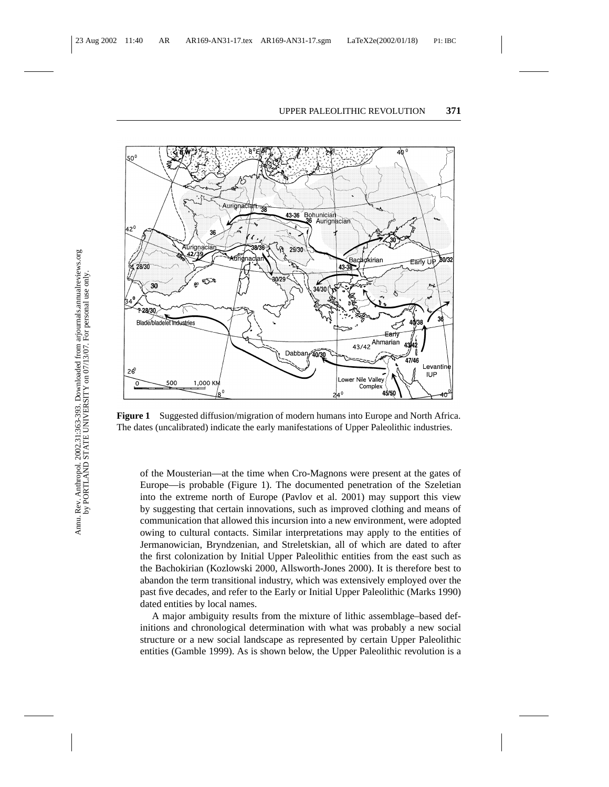

**Figure 1** Suggested diffusion/migration of modern humans into Europe and North Africa. The dates (uncalibrated) indicate the early manifestations of Upper Paleolithic industries.

of the Mousterian—at the time when Cro-Magnons were present at the gates of Europe—is probable (Figure 1). The documented penetration of the Szeletian into the extreme north of Europe (Pavlov et al. 2001) may support this view by suggesting that certain innovations, such as improved clothing and means of communication that allowed this incursion into a new environment, were adopted owing to cultural contacts. Similar interpretations may apply to the entities of Jermanowician, Bryndzenian, and Streletskian, all of which are dated to after the first colonization by Initial Upper Paleolithic entities from the east such as the Bachokirian (Kozlowski 2000, Allsworth-Jones 2000). It is therefore best to abandon the term transitional industry, which was extensively employed over the past five decades, and refer to the Early or Initial Upper Paleolithic (Marks 1990) dated entities by local names.

A major ambiguity results from the mixture of lithic assemblage–based definitions and chronological determination with what was probably a new social structure or a new social landscape as represented by certain Upper Paleolithic entities (Gamble 1999). As is shown below, the Upper Paleolithic revolution is a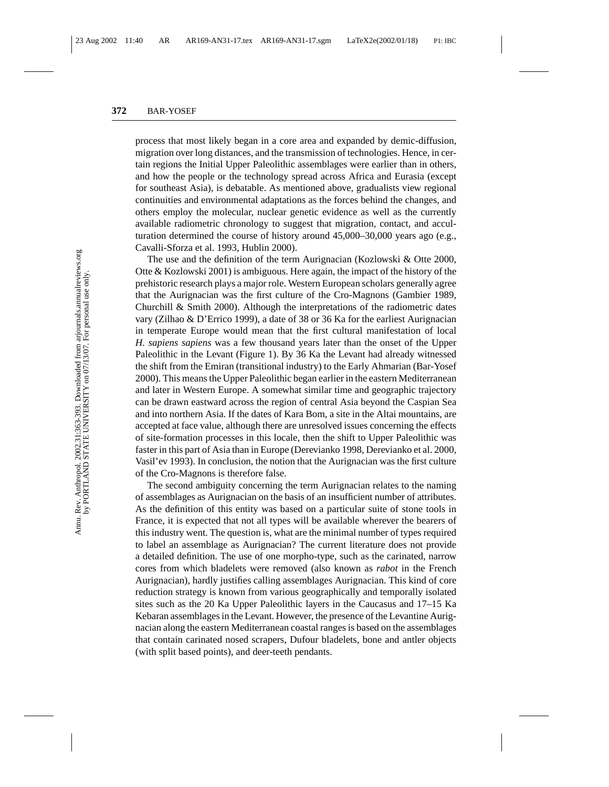process that most likely began in a core area and expanded by demic-diffusion, migration over long distances, and the transmission of technologies. Hence, in certain regions the Initial Upper Paleolithic assemblages were earlier than in others, and how the people or the technology spread across Africa and Eurasia (except for southeast Asia), is debatable. As mentioned above, gradualists view regional continuities and environmental adaptations as the forces behind the changes, and others employ the molecular, nuclear genetic evidence as well as the currently available radiometric chronology to suggest that migration, contact, and acculturation determined the course of history around 45,000–30,000 years ago (e.g., Cavalli-Sforza et al. 1993, Hublin 2000).

The use and the definition of the term Aurignacian (Kozlowski & Otte 2000, Otte & Kozlowski 2001) is ambiguous. Here again, the impact of the history of the prehistoric research plays a major role. Western European scholars generally agree that the Aurignacian was the first culture of the Cro-Magnons (Gambier 1989, Churchill & Smith 2000). Although the interpretations of the radiometric dates vary (Zilhao & D'Errico 1999), a date of 38 or 36 Ka for the earliest Aurignacian in temperate Europe would mean that the first cultural manifestation of local *H. sapiens sapiens* was a few thousand years later than the onset of the Upper Paleolithic in the Levant (Figure 1). By 36 Ka the Levant had already witnessed the shift from the Emiran (transitional industry) to the Early Ahmarian (Bar-Yosef 2000). This means the Upper Paleolithic began earlier in the eastern Mediterranean and later in Western Europe. A somewhat similar time and geographic trajectory can be drawn eastward across the region of central Asia beyond the Caspian Sea and into northern Asia. If the dates of Kara Bom, a site in the Altai mountains, are accepted at face value, although there are unresolved issues concerning the effects of site-formation processes in this locale, then the shift to Upper Paleolithic was faster in this part of Asia than in Europe (Derevianko 1998, Derevianko et al. 2000, Vasil'ev 1993). In conclusion, the notion that the Aurignacian was the first culture of the Cro-Magnons is therefore false.

The second ambiguity concerning the term Aurignacian relates to the naming of assemblages as Aurignacian on the basis of an insufficient number of attributes. As the definition of this entity was based on a particular suite of stone tools in France, it is expected that not all types will be available wherever the bearers of this industry went. The question is, what are the minimal number of types required to label an assemblage as Aurignacian? The current literature does not provide a detailed definition. The use of one morpho-type, such as the carinated, narrow cores from which bladelets were removed (also known as *rabot* in the French Aurignacian), hardly justifies calling assemblages Aurignacian. This kind of core reduction strategy is known from various geographically and temporally isolated sites such as the 20 Ka Upper Paleolithic layers in the Caucasus and 17–15 Ka Kebaran assemblages in the Levant. However, the presence of the Levantine Aurignacian along the eastern Mediterranean coastal ranges is based on the assemblages that contain carinated nosed scrapers, Dufour bladelets, bone and antler objects (with split based points), and deer-teeth pendants.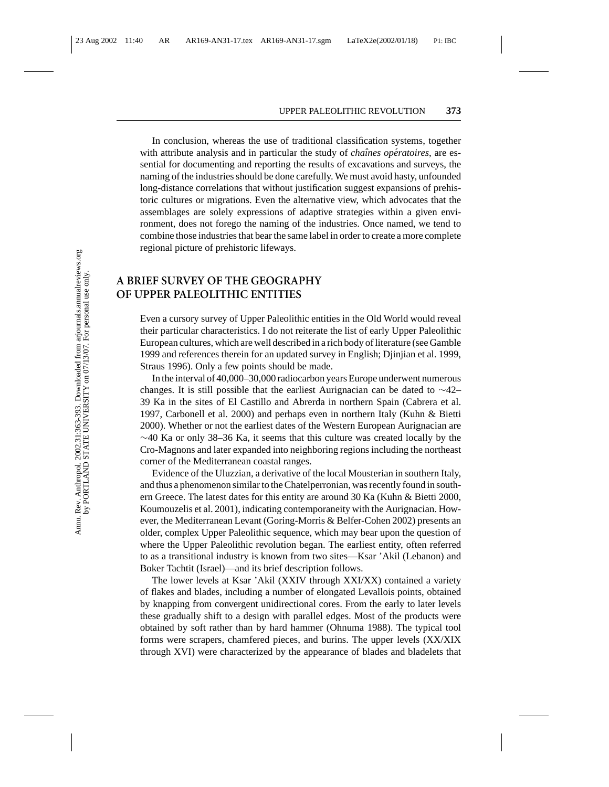In conclusion, whereas the use of traditional classification systems, together with attribute analysis and in particular the study of *chaînes opératoires*, are essential for documenting and reporting the results of excavations and surveys, the naming of the industries should be done carefully. We must avoid hasty, unfounded long-distance correlations that without justification suggest expansions of prehistoric cultures or migrations. Even the alternative view, which advocates that the assemblages are solely expressions of adaptive strategies within a given environment, does not forego the naming of the industries. Once named, we tend to combine those industries that bear the same label in order to create a more complete regional picture of prehistoric lifeways.

# **A BRIEF SURVEY OF THE GEOGRAPHY OF UPPER PALEOLITHIC ENTITIES**

Even a cursory survey of Upper Paleolithic entities in the Old World would reveal their particular characteristics. I do not reiterate the list of early Upper Paleolithic European cultures, which are well described in a rich body of literature (see Gamble 1999 and references therein for an updated survey in English; Djinjian et al. 1999, Straus 1996). Only a few points should be made.

In the interval of 40,000–30,000 radiocarbon years Europe underwent numerous changes. It is still possible that the earliest Aurignacian can be dated to ∼42– 39 Ka in the sites of El Castillo and Abrerda in northern Spain (Cabrera et al. 1997, Carbonell et al. 2000) and perhaps even in northern Italy (Kuhn & Bietti 2000). Whether or not the earliest dates of the Western European Aurignacian are  $\sim$ 40 Ka or only 38–36 Ka, it seems that this culture was created locally by the Cro-Magnons and later expanded into neighboring regions including the northeast corner of the Mediterranean coastal ranges.

Evidence of the Uluzzian, a derivative of the local Mousterian in southern Italy, and thus a phenomenon similar to the Chatelperronian, was recently found in southern Greece. The latest dates for this entity are around 30 Ka (Kuhn & Bietti 2000, Koumouzelis et al. 2001), indicating contemporaneity with the Aurignacian. However, the Mediterranean Levant (Goring-Morris & Belfer-Cohen 2002) presents an older, complex Upper Paleolithic sequence, which may bear upon the question of where the Upper Paleolithic revolution began. The earliest entity, often referred to as a transitional industry is known from two sites—Ksar 'Akil (Lebanon) and Boker Tachtit (Israel)—and its brief description follows.

The lower levels at Ksar 'Akil (XXIV through XXI/XX) contained a variety of flakes and blades, including a number of elongated Levallois points, obtained by knapping from convergent unidirectional cores. From the early to later levels these gradually shift to a design with parallel edges. Most of the products were obtained by soft rather than by hard hammer (Ohnuma 1988). The typical tool forms were scrapers, chamfered pieces, and burins. The upper levels (XX/XIX through XVI) were characterized by the appearance of blades and bladelets that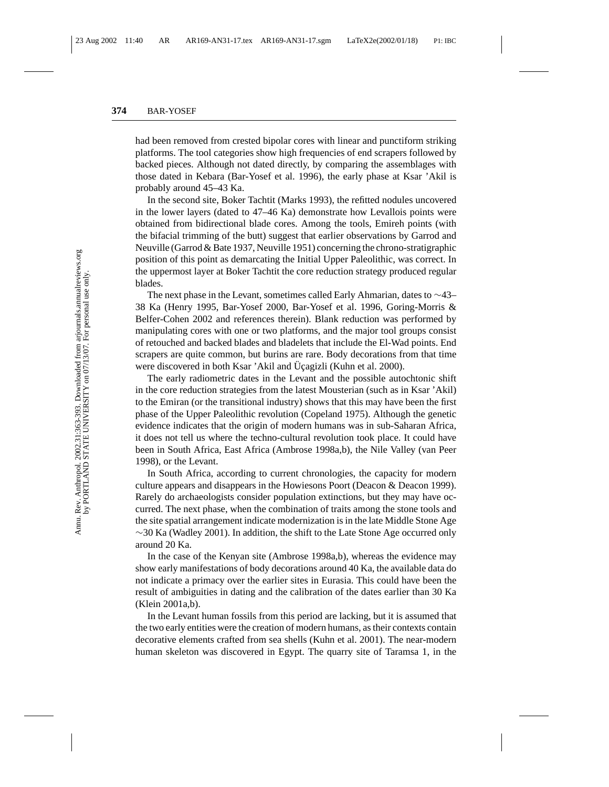had been removed from crested bipolar cores with linear and punctiform striking platforms. The tool categories show high frequencies of end scrapers followed by backed pieces. Although not dated directly, by comparing the assemblages with those dated in Kebara (Bar-Yosef et al. 1996), the early phase at Ksar 'Akil is probably around 45–43 Ka.

In the second site, Boker Tachtit (Marks 1993), the refitted nodules uncovered in the lower layers (dated to 47–46 Ka) demonstrate how Levallois points were obtained from bidirectional blade cores. Among the tools, Emireh points (with the bifacial trimming of the butt) suggest that earlier observations by Garrod and Neuville (Garrod & Bate 1937, Neuville 1951) concerning the chrono-stratigraphic position of this point as demarcating the Initial Upper Paleolithic, was correct. In the uppermost layer at Boker Tachtit the core reduction strategy produced regular blades.

The next phase in the Levant, sometimes called Early Ahmarian, dates to ∼43– 38 Ka (Henry 1995, Bar-Yosef 2000, Bar-Yosef et al. 1996, Goring-Morris & Belfer-Cohen 2002 and references therein). Blank reduction was performed by manipulating cores with one or two platforms, and the major tool groups consist of retouched and backed blades and bladelets that include the El-Wad points. End scrapers are quite common, but burins are rare. Body decorations from that time were discovered in both Ksar 'Akil and Uçagizli (Kuhn et al. 2000).

The early radiometric dates in the Levant and the possible autochtonic shift in the core reduction strategies from the latest Mousterian (such as in Ksar 'Akil) to the Emiran (or the transitional industry) shows that this may have been the first phase of the Upper Paleolithic revolution (Copeland 1975). Although the genetic evidence indicates that the origin of modern humans was in sub-Saharan Africa, it does not tell us where the techno-cultural revolution took place. It could have been in South Africa, East Africa (Ambrose 1998a,b), the Nile Valley (van Peer 1998), or the Levant.

In South Africa, according to current chronologies, the capacity for modern culture appears and disappears in the Howiesons Poort (Deacon & Deacon 1999). Rarely do archaeologists consider population extinctions, but they may have occurred. The next phase, when the combination of traits among the stone tools and the site spatial arrangement indicate modernization is in the late Middle Stone Age ∼30 Ka (Wadley 2001). In addition, the shift to the Late Stone Age occurred only around 20 Ka.

In the case of the Kenyan site (Ambrose 1998a,b), whereas the evidence may show early manifestations of body decorations around 40 Ka, the available data do not indicate a primacy over the earlier sites in Eurasia. This could have been the result of ambiguities in dating and the calibration of the dates earlier than 30 Ka (Klein 2001a,b).

In the Levant human fossils from this period are lacking, but it is assumed that the two early entities were the creation of modern humans, as their contexts contain decorative elements crafted from sea shells (Kuhn et al. 2001). The near-modern human skeleton was discovered in Egypt. The quarry site of Taramsa 1, in the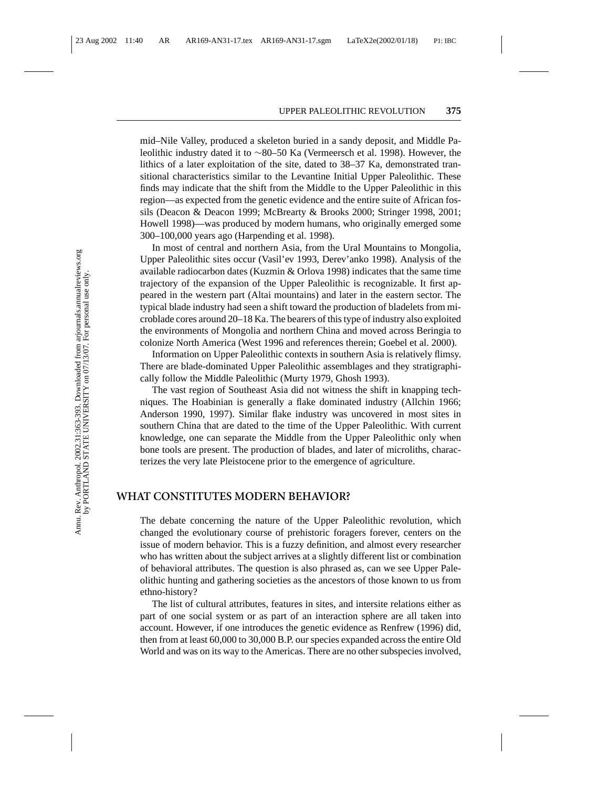mid–Nile Valley, produced a skeleton buried in a sandy deposit, and Middle Paleolithic industry dated it to ∼80–50 Ka (Vermeersch et al. 1998). However, the lithics of a later exploitation of the site, dated to 38–37 Ka, demonstrated transitional characteristics similar to the Levantine Initial Upper Paleolithic. These finds may indicate that the shift from the Middle to the Upper Paleolithic in this region—as expected from the genetic evidence and the entire suite of African fossils (Deacon & Deacon 1999; McBrearty & Brooks 2000; Stringer 1998, 2001; Howell 1998)—was produced by modern humans, who originally emerged some 300–100,000 years ago (Harpending et al. 1998).

In most of central and northern Asia, from the Ural Mountains to Mongolia, Upper Paleolithic sites occur (Vasil'ev 1993, Derev'anko 1998). Analysis of the available radiocarbon dates (Kuzmin & Orlova 1998) indicates that the same time trajectory of the expansion of the Upper Paleolithic is recognizable. It first appeared in the western part (Altai mountains) and later in the eastern sector. The typical blade industry had seen a shift toward the production of bladelets from microblade cores around 20–18 Ka. The bearers of this type of industry also exploited the environments of Mongolia and northern China and moved across Beringia to colonize North America (West 1996 and references therein; Goebel et al. 2000).

Information on Upper Paleolithic contexts in southern Asia is relatively flimsy. There are blade-dominated Upper Paleolithic assemblages and they stratigraphically follow the Middle Paleolithic (Murty 1979, Ghosh 1993).

The vast region of Southeast Asia did not witness the shift in knapping techniques. The Hoabinian is generally a flake dominated industry (Allchin 1966; Anderson 1990, 1997). Similar flake industry was uncovered in most sites in southern China that are dated to the time of the Upper Paleolithic. With current knowledge, one can separate the Middle from the Upper Paleolithic only when bone tools are present. The production of blades, and later of microliths, characterizes the very late Pleistocene prior to the emergence of agriculture.

#### **WHAT CONSTITUTES MODERN BEHAVIOR?**

The debate concerning the nature of the Upper Paleolithic revolution, which changed the evolutionary course of prehistoric foragers forever, centers on the issue of modern behavior. This is a fuzzy definition, and almost every researcher who has written about the subject arrives at a slightly different list or combination of behavioral attributes. The question is also phrased as, can we see Upper Paleolithic hunting and gathering societies as the ancestors of those known to us from ethno-history?

The list of cultural attributes, features in sites, and intersite relations either as part of one social system or as part of an interaction sphere are all taken into account. However, if one introduces the genetic evidence as Renfrew (1996) did, then from at least 60,000 to 30,000 B.P. our species expanded across the entire Old World and was on its way to the Americas. There are no other subspecies involved,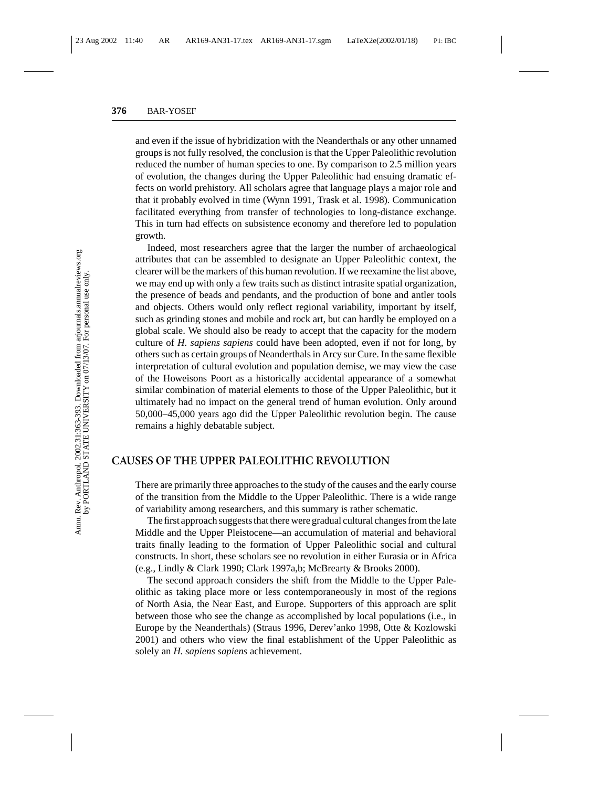and even if the issue of hybridization with the Neanderthals or any other unnamed groups is not fully resolved, the conclusion is that the Upper Paleolithic revolution reduced the number of human species to one. By comparison to 2.5 million years of evolution, the changes during the Upper Paleolithic had ensuing dramatic effects on world prehistory. All scholars agree that language plays a major role and that it probably evolved in time (Wynn 1991, Trask et al. 1998). Communication facilitated everything from transfer of technologies to long-distance exchange. This in turn had effects on subsistence economy and therefore led to population growth.

Indeed, most researchers agree that the larger the number of archaeological attributes that can be assembled to designate an Upper Paleolithic context, the clearer will be the markers of this human revolution. If we reexamine the list above, we may end up with only a few traits such as distinct intrasite spatial organization, the presence of beads and pendants, and the production of bone and antler tools and objects. Others would only reflect regional variability, important by itself, such as grinding stones and mobile and rock art, but can hardly be employed on a global scale. We should also be ready to accept that the capacity for the modern culture of *H. sapiens sapiens* could have been adopted, even if not for long, by others such as certain groups of Neanderthals in Arcy sur Cure. In the same flexible interpretation of cultural evolution and population demise, we may view the case of the Howeisons Poort as a historically accidental appearance of a somewhat similar combination of material elements to those of the Upper Paleolithic, but it ultimately had no impact on the general trend of human evolution. Only around 50,000–45,000 years ago did the Upper Paleolithic revolution begin. The cause remains a highly debatable subject.

## **CAUSES OF THE UPPER PALEOLITHIC REVOLUTION**

There are primarily three approaches to the study of the causes and the early course of the transition from the Middle to the Upper Paleolithic. There is a wide range of variability among researchers, and this summary is rather schematic.

The first approach suggests that there were gradual cultural changes from the late Middle and the Upper Pleistocene—an accumulation of material and behavioral traits finally leading to the formation of Upper Paleolithic social and cultural constructs. In short, these scholars see no revolution in either Eurasia or in Africa (e.g., Lindly & Clark 1990; Clark 1997a,b; McBrearty & Brooks 2000).

The second approach considers the shift from the Middle to the Upper Paleolithic as taking place more or less contemporaneously in most of the regions of North Asia, the Near East, and Europe. Supporters of this approach are split between those who see the change as accomplished by local populations (i.e., in Europe by the Neanderthals) (Straus 1996, Derev'anko 1998, Otte & Kozlowski 2001) and others who view the final establishment of the Upper Paleolithic as solely an *H. sapiens sapiens* achievement.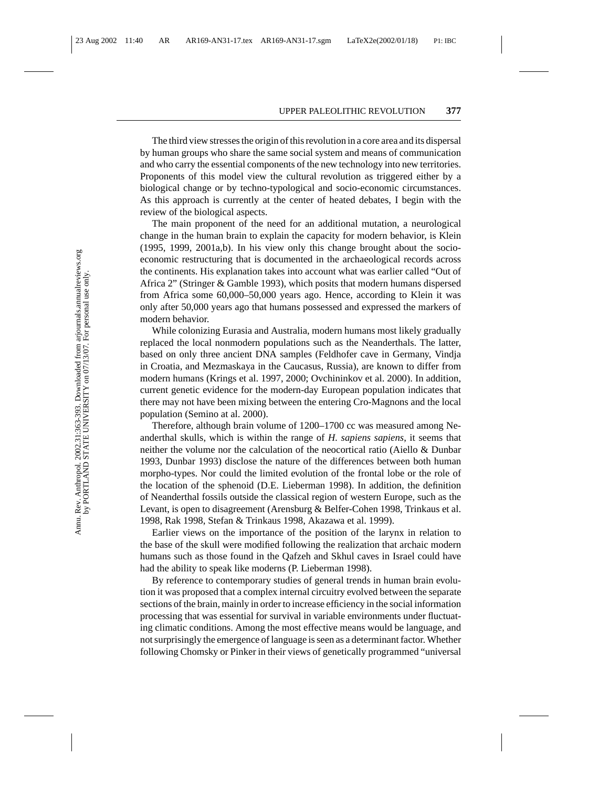The third view stresses the origin of this revolution in a core area and its dispersal by human groups who share the same social system and means of communication and who carry the essential components of the new technology into new territories. Proponents of this model view the cultural revolution as triggered either by a biological change or by techno-typological and socio-economic circumstances. As this approach is currently at the center of heated debates, I begin with the review of the biological aspects.

The main proponent of the need for an additional mutation, a neurological change in the human brain to explain the capacity for modern behavior, is Klein (1995, 1999, 2001a,b). In his view only this change brought about the socioeconomic restructuring that is documented in the archaeological records across the continents. His explanation takes into account what was earlier called "Out of Africa 2" (Stringer & Gamble 1993), which posits that modern humans dispersed from Africa some 60,000–50,000 years ago. Hence, according to Klein it was only after 50,000 years ago that humans possessed and expressed the markers of modern behavior.

While colonizing Eurasia and Australia, modern humans most likely gradually replaced the local nonmodern populations such as the Neanderthals. The latter, based on only three ancient DNA samples (Feldhofer cave in Germany, Vindja in Croatia, and Mezmaskaya in the Caucasus, Russia), are known to differ from modern humans (Krings et al. 1997, 2000; Ovchininkov et al. 2000). In addition, current genetic evidence for the modern-day European population indicates that there may not have been mixing between the entering Cro-Magnons and the local population (Semino at al. 2000).

Therefore, although brain volume of 1200–1700 cc was measured among Neanderthal skulls, which is within the range of *H. sapiens sapiens*, it seems that neither the volume nor the calculation of the neocortical ratio (Aiello & Dunbar 1993, Dunbar 1993) disclose the nature of the differences between both human morpho-types. Nor could the limited evolution of the frontal lobe or the role of the location of the sphenoid (D.E. Lieberman 1998). In addition, the definition of Neanderthal fossils outside the classical region of western Europe, such as the Levant, is open to disagreement (Arensburg & Belfer-Cohen 1998, Trinkaus et al. 1998, Rak 1998, Stefan & Trinkaus 1998, Akazawa et al. 1999).

Earlier views on the importance of the position of the larynx in relation to the base of the skull were modified following the realization that archaic modern humans such as those found in the Qafzeh and Skhul caves in Israel could have had the ability to speak like moderns (P. Lieberman 1998).

By reference to contemporary studies of general trends in human brain evolution it was proposed that a complex internal circuitry evolved between the separate sections of the brain, mainly in order to increase efficiency in the social information processing that was essential for survival in variable environments under fluctuating climatic conditions. Among the most effective means would be language, and not surprisingly the emergence of language is seen as a determinant factor. Whether following Chomsky or Pinker in their views of genetically programmed "universal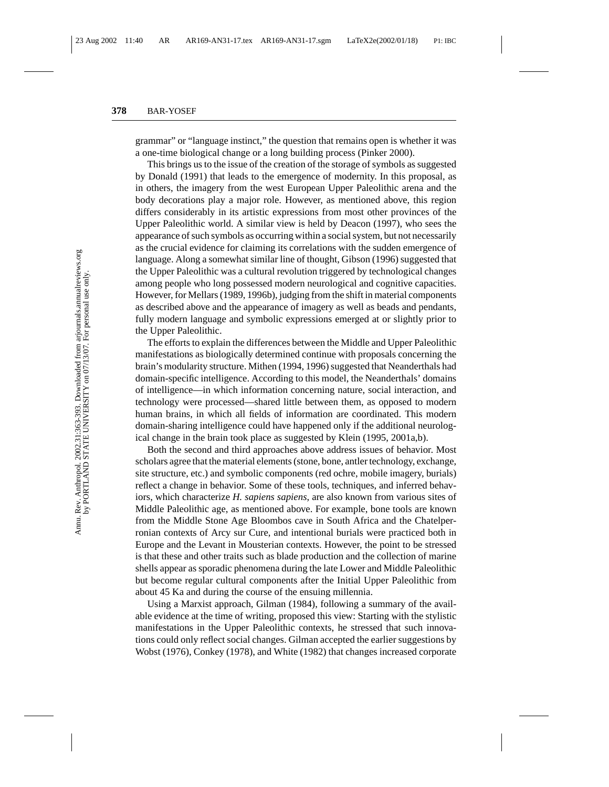grammar" or "language instinct," the question that remains open is whether it was a one-time biological change or a long building process (Pinker 2000).

This brings us to the issue of the creation of the storage of symbols as suggested by Donald (1991) that leads to the emergence of modernity. In this proposal, as in others, the imagery from the west European Upper Paleolithic arena and the body decorations play a major role. However, as mentioned above, this region differs considerably in its artistic expressions from most other provinces of the Upper Paleolithic world. A similar view is held by Deacon (1997), who sees the appearance of such symbols as occurring within a social system, but not necessarily as the crucial evidence for claiming its correlations with the sudden emergence of language. Along a somewhat similar line of thought, Gibson (1996) suggested that the Upper Paleolithic was a cultural revolution triggered by technological changes among people who long possessed modern neurological and cognitive capacities. However, for Mellars (1989, 1996b), judging from the shift in material components as described above and the appearance of imagery as well as beads and pendants, fully modern language and symbolic expressions emerged at or slightly prior to the Upper Paleolithic.

The efforts to explain the differences between the Middle and Upper Paleolithic manifestations as biologically determined continue with proposals concerning the brain's modularity structure. Mithen (1994, 1996) suggested that Neanderthals had domain-specific intelligence. According to this model, the Neanderthals' domains of intelligence—in which information concerning nature, social interaction, and technology were processed—shared little between them, as opposed to modern human brains, in which all fields of information are coordinated. This modern domain-sharing intelligence could have happened only if the additional neurological change in the brain took place as suggested by Klein (1995, 2001a,b).

Both the second and third approaches above address issues of behavior. Most scholars agree that the material elements (stone, bone, antler technology, exchange, site structure, etc.) and symbolic components (red ochre, mobile imagery, burials) reflect a change in behavior. Some of these tools, techniques, and inferred behaviors, which characterize *H. sapiens sapiens*, are also known from various sites of Middle Paleolithic age, as mentioned above. For example, bone tools are known from the Middle Stone Age Bloombos cave in South Africa and the Chatelperronian contexts of Arcy sur Cure, and intentional burials were practiced both in Europe and the Levant in Mousterian contexts. However, the point to be stressed is that these and other traits such as blade production and the collection of marine shells appear as sporadic phenomena during the late Lower and Middle Paleolithic but become regular cultural components after the Initial Upper Paleolithic from about 45 Ka and during the course of the ensuing millennia.

Using a Marxist approach, Gilman (1984), following a summary of the available evidence at the time of writing, proposed this view: Starting with the stylistic manifestations in the Upper Paleolithic contexts, he stressed that such innovations could only reflect social changes. Gilman accepted the earlier suggestions by Wobst (1976), Conkey (1978), and White (1982) that changes increased corporate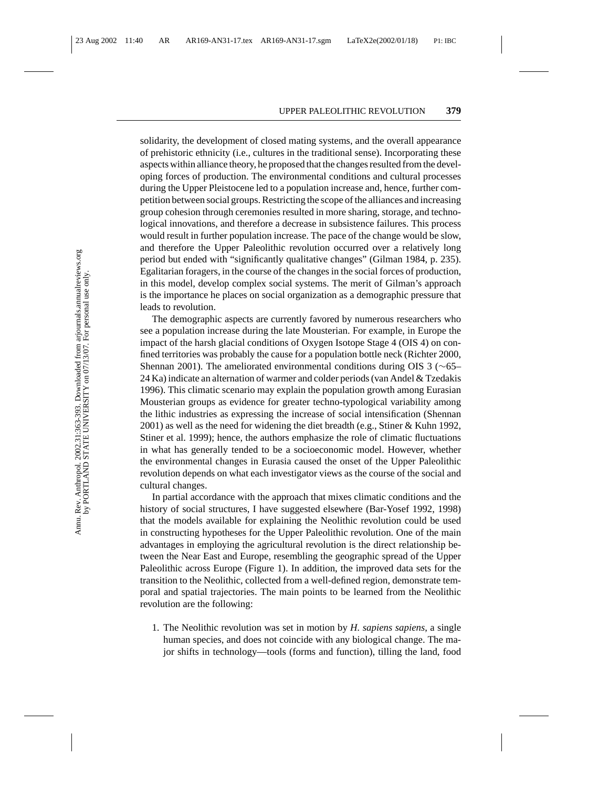solidarity, the development of closed mating systems, and the overall appearance of prehistoric ethnicity (i.e., cultures in the traditional sense). Incorporating these aspects within alliance theory, he proposed that the changes resulted from the developing forces of production. The environmental conditions and cultural processes during the Upper Pleistocene led to a population increase and, hence, further competition between social groups. Restricting the scope of the alliances and increasing group cohesion through ceremonies resulted in more sharing, storage, and technological innovations, and therefore a decrease in subsistence failures. This process would result in further population increase. The pace of the change would be slow, and therefore the Upper Paleolithic revolution occurred over a relatively long period but ended with "significantly qualitative changes" (Gilman 1984, p. 235). Egalitarian foragers, in the course of the changes in the social forces of production, in this model, develop complex social systems. The merit of Gilman's approach is the importance he places on social organization as a demographic pressure that leads to revolution.

The demographic aspects are currently favored by numerous researchers who see a population increase during the late Mousterian. For example, in Europe the impact of the harsh glacial conditions of Oxygen Isotope Stage 4 (OIS 4) on confined territories was probably the cause for a population bottle neck (Richter 2000, Shennan 2001). The ameliorated environmental conditions during OIS 3 (∼65– 24 Ka) indicate an alternation of warmer and colder periods (van Andel & Tzedakis 1996). This climatic scenario may explain the population growth among Eurasian Mousterian groups as evidence for greater techno-typological variability among the lithic industries as expressing the increase of social intensification (Shennan 2001) as well as the need for widening the diet breadth (e.g., Stiner & Kuhn 1992, Stiner et al. 1999); hence, the authors emphasize the role of climatic fluctuations in what has generally tended to be a socioeconomic model. However, whether the environmental changes in Eurasia caused the onset of the Upper Paleolithic revolution depends on what each investigator views as the course of the social and cultural changes.

In partial accordance with the approach that mixes climatic conditions and the history of social structures, I have suggested elsewhere (Bar-Yosef 1992, 1998) that the models available for explaining the Neolithic revolution could be used in constructing hypotheses for the Upper Paleolithic revolution. One of the main advantages in employing the agricultural revolution is the direct relationship between the Near East and Europe, resembling the geographic spread of the Upper Paleolithic across Europe (Figure 1). In addition, the improved data sets for the transition to the Neolithic, collected from a well-defined region, demonstrate temporal and spatial trajectories. The main points to be learned from the Neolithic revolution are the following:

1. The Neolithic revolution was set in motion by *H. sapiens sapiens*, a single human species, and does not coincide with any biological change. The major shifts in technology—tools (forms and function), tilling the land, food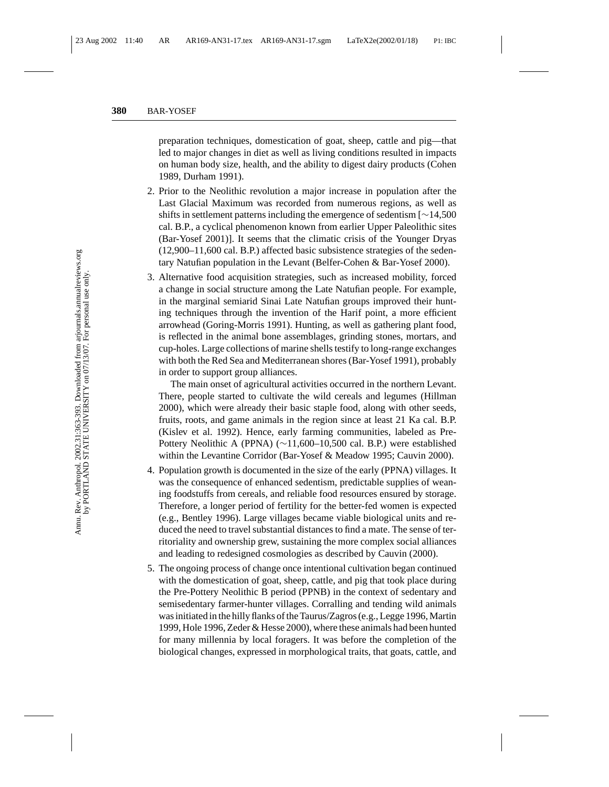preparation techniques, domestication of goat, sheep, cattle and pig—that led to major changes in diet as well as living conditions resulted in impacts on human body size, health, and the ability to digest dairy products (Cohen 1989, Durham 1991).

- 2. Prior to the Neolithic revolution a major increase in population after the Last Glacial Maximum was recorded from numerous regions, as well as shifts in settlement patterns including the emergence of sedentism [∼14,500 cal. B.P., a cyclical phenomenon known from earlier Upper Paleolithic sites (Bar-Yosef 2001)]. It seems that the climatic crisis of the Younger Dryas (12,900–11,600 cal. B.P.) affected basic subsistence strategies of the sedentary Natufian population in the Levant (Belfer-Cohen & Bar-Yosef 2000).
- 3. Alternative food acquisition strategies, such as increased mobility, forced a change in social structure among the Late Natufian people. For example, in the marginal semiarid Sinai Late Natufian groups improved their hunting techniques through the invention of the Harif point, a more efficient arrowhead (Goring-Morris 1991). Hunting, as well as gathering plant food, is reflected in the animal bone assemblages, grinding stones, mortars, and cup-holes. Large collections of marine shells testify to long-range exchanges with both the Red Sea and Mediterranean shores (Bar-Yosef 1991), probably in order to support group alliances.

The main onset of agricultural activities occurred in the northern Levant. There, people started to cultivate the wild cereals and legumes (Hillman 2000), which were already their basic staple food, along with other seeds, fruits, roots, and game animals in the region since at least 21 Ka cal. B.P. (Kislev et al. 1992). Hence, early farming communities, labeled as Pre-Pottery Neolithic A (PPNA) (∼11,600–10,500 cal. B.P.) were established within the Levantine Corridor (Bar-Yosef & Meadow 1995; Cauvin 2000).

- 4. Population growth is documented in the size of the early (PPNA) villages. It was the consequence of enhanced sedentism, predictable supplies of weaning foodstuffs from cereals, and reliable food resources ensured by storage. Therefore, a longer period of fertility for the better-fed women is expected (e.g., Bentley 1996). Large villages became viable biological units and reduced the need to travel substantial distances to find a mate. The sense of territoriality and ownership grew, sustaining the more complex social alliances and leading to redesigned cosmologies as described by Cauvin (2000).
- 5. The ongoing process of change once intentional cultivation began continued with the domestication of goat, sheep, cattle, and pig that took place during the Pre-Pottery Neolithic B period (PPNB) in the context of sedentary and semisedentary farmer-hunter villages. Corralling and tending wild animals was initiated in the hilly flanks of the Taurus/Zagros (e.g., Legge 1996, Martin 1999, Hole 1996, Zeder & Hesse 2000), where these animals had been hunted for many millennia by local foragers. It was before the completion of the biological changes, expressed in morphological traits, that goats, cattle, and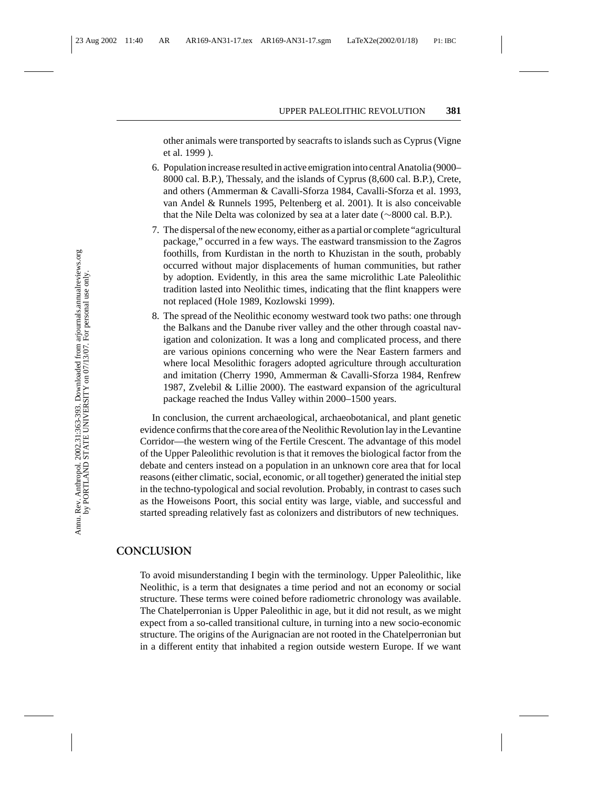other animals were transported by seacrafts to islands such as Cyprus (Vigne et al. 1999 ).

- 6. Population increase resulted in active emigration into central Anatolia (9000– 8000 cal. B.P.), Thessaly, and the islands of Cyprus (8,600 cal. B.P.), Crete, and others (Ammerman & Cavalli-Sforza 1984, Cavalli-Sforza et al. 1993, van Andel & Runnels 1995, Peltenberg et al. 2001). It is also conceivable that the Nile Delta was colonized by sea at a later date (∼8000 cal. B.P.).
- 7. The dispersal of the new economy, either as a partial or complete "agricultural package," occurred in a few ways. The eastward transmission to the Zagros foothills, from Kurdistan in the north to Khuzistan in the south, probably occurred without major displacements of human communities, but rather by adoption. Evidently, in this area the same microlithic Late Paleolithic tradition lasted into Neolithic times, indicating that the flint knappers were not replaced (Hole 1989, Kozlowski 1999).
- 8. The spread of the Neolithic economy westward took two paths: one through the Balkans and the Danube river valley and the other through coastal navigation and colonization. It was a long and complicated process, and there are various opinions concerning who were the Near Eastern farmers and where local Mesolithic foragers adopted agriculture through acculturation and imitation (Cherry 1990, Ammerman & Cavalli-Sforza 1984, Renfrew 1987, Zvelebil & Lillie 2000). The eastward expansion of the agricultural package reached the Indus Valley within 2000–1500 years.

In conclusion, the current archaeological, archaeobotanical, and plant genetic evidence confirms that the core area of the Neolithic Revolution lay in the Levantine Corridor—the western wing of the Fertile Crescent. The advantage of this model of the Upper Paleolithic revolution is that it removes the biological factor from the debate and centers instead on a population in an unknown core area that for local reasons (either climatic, social, economic, or all together) generated the initial step in the techno-typological and social revolution. Probably, in contrast to cases such as the Howeisons Poort, this social entity was large, viable, and successful and started spreading relatively fast as colonizers and distributors of new techniques.

### **CONCLUSION**

To avoid misunderstanding I begin with the terminology. Upper Paleolithic, like Neolithic, is a term that designates a time period and not an economy or social structure. These terms were coined before radiometric chronology was available. The Chatelperronian is Upper Paleolithic in age, but it did not result, as we might expect from a so-called transitional culture, in turning into a new socio-economic structure. The origins of the Aurignacian are not rooted in the Chatelperronian but in a different entity that inhabited a region outside western Europe. If we want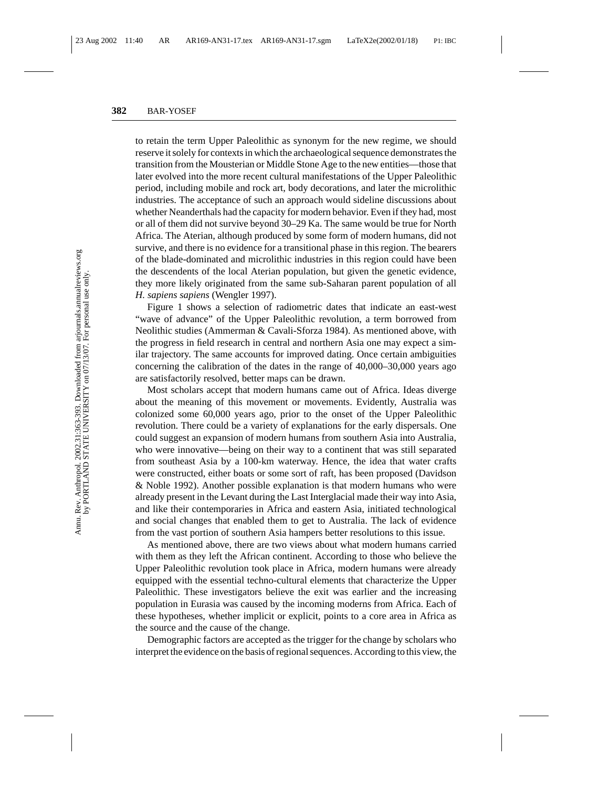to retain the term Upper Paleolithic as synonym for the new regime, we should reserve it solely for contexts in which the archaeological sequence demonstrates the transition from the Mousterian or Middle Stone Age to the new entities—those that later evolved into the more recent cultural manifestations of the Upper Paleolithic period, including mobile and rock art, body decorations, and later the microlithic industries. The acceptance of such an approach would sideline discussions about whether Neanderthals had the capacity for modern behavior. Even if they had, most or all of them did not survive beyond 30–29 Ka. The same would be true for North Africa. The Aterian, although produced by some form of modern humans, did not survive, and there is no evidence for a transitional phase in this region. The bearers of the blade-dominated and microlithic industries in this region could have been the descendents of the local Aterian population, but given the genetic evidence, they more likely originated from the same sub-Saharan parent population of all *H. sapiens sapiens* (Wengler 1997).

Figure 1 shows a selection of radiometric dates that indicate an east-west "wave of advance" of the Upper Paleolithic revolution, a term borrowed from Neolithic studies (Ammerman & Cavali-Sforza 1984). As mentioned above, with the progress in field research in central and northern Asia one may expect a similar trajectory. The same accounts for improved dating. Once certain ambiguities concerning the calibration of the dates in the range of 40,000–30,000 years ago are satisfactorily resolved, better maps can be drawn.

Most scholars accept that modern humans came out of Africa. Ideas diverge about the meaning of this movement or movements. Evidently, Australia was colonized some 60,000 years ago, prior to the onset of the Upper Paleolithic revolution. There could be a variety of explanations for the early dispersals. One could suggest an expansion of modern humans from southern Asia into Australia, who were innovative—being on their way to a continent that was still separated from southeast Asia by a 100-km waterway. Hence, the idea that water crafts were constructed, either boats or some sort of raft, has been proposed (Davidson & Noble 1992). Another possible explanation is that modern humans who were already present in the Levant during the Last Interglacial made their way into Asia, and like their contemporaries in Africa and eastern Asia, initiated technological and social changes that enabled them to get to Australia. The lack of evidence from the vast portion of southern Asia hampers better resolutions to this issue.

As mentioned above, there are two views about what modern humans carried with them as they left the African continent. According to those who believe the Upper Paleolithic revolution took place in Africa, modern humans were already equipped with the essential techno-cultural elements that characterize the Upper Paleolithic. These investigators believe the exit was earlier and the increasing population in Eurasia was caused by the incoming moderns from Africa. Each of these hypotheses, whether implicit or explicit, points to a core area in Africa as the source and the cause of the change.

Demographic factors are accepted as the trigger for the change by scholars who interpret the evidence on the basis of regional sequences. According to this view, the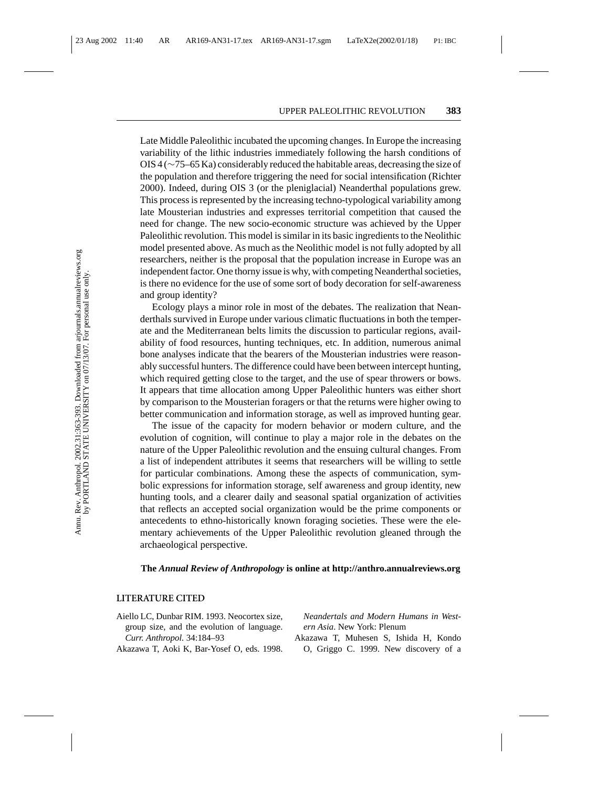Late Middle Paleolithic incubated the upcoming changes. In Europe the increasing variability of the lithic industries immediately following the harsh conditions of OIS 4 (∼75–65 Ka) considerably reduced the habitable areas, decreasing the size of the population and therefore triggering the need for social intensification (Richter 2000). Indeed, during OIS 3 (or the pleniglacial) Neanderthal populations grew. This process is represented by the increasing techno-typological variability among late Mousterian industries and expresses territorial competition that caused the need for change. The new socio-economic structure was achieved by the Upper Paleolithic revolution. This model is similar in its basic ingredients to the Neolithic model presented above. As much as the Neolithic model is not fully adopted by all researchers, neither is the proposal that the population increase in Europe was an independent factor. One thorny issue is why, with competing Neanderthal societies, is there no evidence for the use of some sort of body decoration for self-awareness and group identity?

Ecology plays a minor role in most of the debates. The realization that Neanderthals survived in Europe under various climatic fluctuations in both the temperate and the Mediterranean belts limits the discussion to particular regions, availability of food resources, hunting techniques, etc. In addition, numerous animal bone analyses indicate that the bearers of the Mousterian industries were reasonably successful hunters. The difference could have been between intercept hunting, which required getting close to the target, and the use of spear throwers or bows. It appears that time allocation among Upper Paleolithic hunters was either short by comparison to the Mousterian foragers or that the returns were higher owing to better communication and information storage, as well as improved hunting gear.

The issue of the capacity for modern behavior or modern culture, and the evolution of cognition, will continue to play a major role in the debates on the nature of the Upper Paleolithic revolution and the ensuing cultural changes. From a list of independent attributes it seems that researchers will be willing to settle for particular combinations. Among these the aspects of communication, symbolic expressions for information storage, self awareness and group identity, new hunting tools, and a clearer daily and seasonal spatial organization of activities that reflects an accepted social organization would be the prime components or antecedents to ethno-historically known foraging societies. These were the elementary achievements of the Upper Paleolithic revolution gleaned through the archaeological perspective.

#### **The** *Annual Review of Anthropology* **is online at http://anthro.annualreviews.org**

#### **LITERATURE CITED**

- Aiello LC, Dunbar RIM. 1993. Neocortex size, group size, and the evolution of language. *Curr. Anthropol.* 34:184–93
- Akazawa T, Aoki K, Bar-Yosef O, eds. 1998.

*Neandertals and Modern Humans in Western Asia*. New York: Plenum

Akazawa T, Muhesen S, Ishida H, Kondo O, Griggo C. 1999. New discovery of a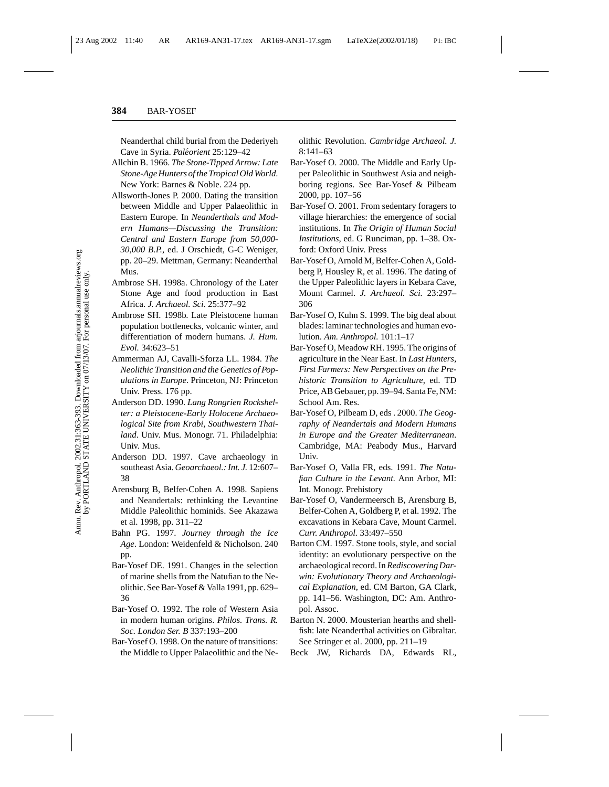Neanderthal child burial from the Dederiyeh Cave in Syria. *Paleorient ´* 25:129–42

- Allchin B. 1966. *The Stone-Tipped Arrow: Late Stone-Age Hunters of the Tropical Old World*. New York: Barnes & Noble. 224 pp.
- Allsworth-Jones P. 2000. Dating the transition between Middle and Upper Palaeolithic in Eastern Europe. In *Neanderthals and Modern Humans—Discussing the Transition: Central and Eastern Europe from 50,000- 30,000 B.P.*, ed. J Orschiedt, G-C Weniger, pp. 20–29. Mettman, Germany: Neanderthal Mus.
- Ambrose SH. 1998a. Chronology of the Later Stone Age and food production in East Africa. *J. Archaeol. Sci.* 25:377–92
- Ambrose SH. 1998b. Late Pleistocene human population bottlenecks, volcanic winter, and differentiation of modern humans. *J. Hum. Evol.* 34:623–51
- Ammerman AJ, Cavalli-Sforza LL. 1984. *The Neolithic Transition and the Genetics of Populations in Europe*. Princeton, NJ: Princeton Univ. Press. 176 pp.
- Anderson DD. 1990. *Lang Rongrien Rockshelter: a Pleistocene-Early Holocene Archaeological Site from Krabi, Southwestern Thailand*. Univ. Mus. Monogr. 71. Philadelphia: Univ. Mus.
- Anderson DD. 1997. Cave archaeology in southeast Asia. *Geoarchaeol.: Int. J.* 12:607– 38
- Arensburg B, Belfer-Cohen A. 1998. Sapiens and Neandertals: rethinking the Levantine Middle Paleolithic hominids. See Akazawa et al. 1998, pp. 311–22
- Bahn PG. 1997. *Journey through the Ice Age*. London: Weidenfeld & Nicholson. 240 pp.
- Bar-Yosef DE. 1991. Changes in the selection of marine shells from the Natufian to the Neolithic. See Bar-Yosef & Valla 1991, pp. 629– 36
- Bar-Yosef O. 1992. The role of Western Asia in modern human origins. *Philos. Trans. R. Soc. London Ser. B* 337:193–200
- Bar-Yosef O. 1998. On the nature of transitions: the Middle to Upper Palaeolithic and the Ne-

olithic Revolution. *Cambridge Archaeol. J.* 8:141–63

- Bar-Yosef O. 2000. The Middle and Early Upper Paleolithic in Southwest Asia and neighboring regions. See Bar-Yosef & Pilbeam 2000, pp. 107–56
- Bar-Yosef O. 2001. From sedentary foragers to village hierarchies: the emergence of social institutions. In *The Origin of Human Social Institutions*, ed. G Runciman, pp. 1–38. Oxford: Oxford Univ. Press
- Bar-Yosef O, Arnold M, Belfer-Cohen A, Goldberg P, Housley R, et al. 1996. The dating of the Upper Paleolithic layers in Kebara Cave, Mount Carmel. *J. Archaeol. Sci.* 23:297– 306
- Bar-Yosef O, Kuhn S. 1999. The big deal about blades: laminar technologies and human evolution. *Am. Anthropol.* 101:1–17
- Bar-Yosef O, Meadow RH. 1995. The origins of agriculture in the Near East. In *Last Hunters, First Farmers: New Perspectives on the Prehistoric Transition to Agriculture*, ed. TD Price, AB Gebauer, pp. 39–94. Santa Fe, NM: School Am. Res.
- Bar-Yosef O, Pilbeam D, eds . 2000. *The Geography of Neandertals and Modern Humans in Europe and the Greater Mediterranean*. Cambridge, MA: Peabody Mus., Harvard Univ.
- Bar-Yosef O, Valla FR, eds. 1991. *The Natufian Culture in the Levant.* Ann Arbor, MI: Int. Monogr. Prehistory
- Bar-Yosef O, Vandermeersch B, Arensburg B, Belfer-Cohen A, Goldberg P, et al. 1992. The excavations in Kebara Cave, Mount Carmel. *Curr. Anthropol.* 33:497–550
- Barton CM. 1997. Stone tools, style, and social identity: an evolutionary perspective on the archaeological record. In*Rediscovering Darwin: Evolutionary Theory and Archaeological Explanation*, ed. CM Barton, GA Clark, pp. 141–56. Washington, DC: Am. Anthropol. Assoc.
- Barton N. 2000. Mousterian hearths and shellfish: late Neanderthal activities on Gibraltar. See Stringer et al. 2000, pp. 211–19
- Beck JW, Richards DA, Edwards RL,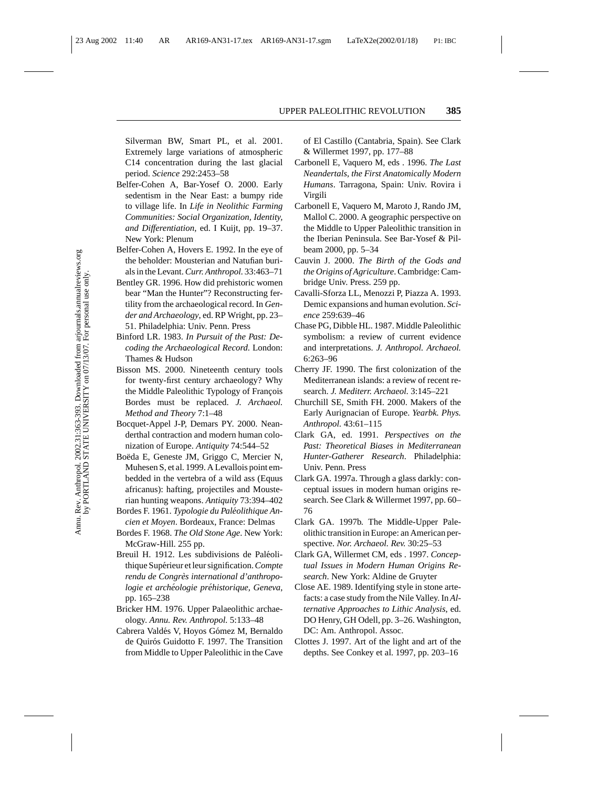Silverman BW, Smart PL, et al. 2001. Extremely large variations of atmospheric C14 concentration during the last glacial period. *Science* 292:2453–58

- Belfer-Cohen A, Bar-Yosef O. 2000. Early sedentism in the Near East: a bumpy ride to village life. In *Life in Neolithic Farming Communities: Social Organization, Identity, and Differentiation*, ed. I Kuijt, pp. 19–37. New York: Plenum
- Belfer-Cohen A, Hovers E. 1992. In the eye of the beholder: Mousterian and Natufian burials in the Levant.*Curr. Anthropol.* 33:463–71
- Bentley GR. 1996. How did prehistoric women bear "Man the Hunter"? Reconstructing fertility from the archaeological record. In *Gender and Archaeology*, ed. RP Wright, pp. 23– 51. Philadelphia: Univ. Penn. Press
- Binford LR. 1983. *In Pursuit of the Past: Decoding the Archaeological Record*. London: Thames & Hudson
- Bisson MS. 2000. Nineteenth century tools for twenty-first century archaeology? Why the Middle Paleolithic Typology of François Bordes must be replaced. *J. Archaeol. Method and Theory* 7:1–48
- Bocquet-Appel J-P, Demars PY. 2000. Neanderthal contraction and modern human colonization of Europe. *Antiquity* 74:544–52
- Boëda E, Geneste JM, Griggo C, Mercier N, Muhesen S, et al. 1999. A Levallois point embedded in the vertebra of a wild ass (Equus africanus): hafting, projectiles and Mousterian hunting weapons. *Antiquity* 73:394–402
- Bordes F. 1961. *Typologie du Paleolithique An- ´ cien et Moyen*. Bordeaux, France: Delmas
- Bordes F. 1968. *The Old Stone Age*. New York: McGraw-Hill. 255 pp.
- Breuil H. 1912. Les subdivisions de Paléolithique Supérieur et leur signification. Compte *rendu de Congres international d'anthropo- `*  $logie$  et archéologie préhistorique, Geneva, pp. 165–238
- Bricker HM. 1976. Upper Palaeolithic archaeology. *Annu. Rev. Anthropol.* 5:133–48
- Cabrera Valdés V, Hoyos Gómez M, Bernaldo de Quirós Guidotto F. 1997. The Transition from Middle to Upper Paleolithic in the Cave

of El Castillo (Cantabria, Spain). See Clark & Willermet 1997, pp. 177–88

- Carbonell E, Vaquero M, eds . 1996. *The Last Neandertals, the First Anatomically Modern Humans*. Tarragona, Spain: Univ. Rovira i Virgili
- Carbonell E, Vaquero M, Maroto J, Rando JM, Mallol C. 2000. A geographic perspective on the Middle to Upper Paleolithic transition in the Iberian Peninsula. See Bar-Yosef & Pilbeam 2000, pp. 5–34
- Cauvin J. 2000. *The Birth of the Gods and the Origins of Agriculture*. Cambridge: Cambridge Univ. Press. 259 pp.
- Cavalli-Sforza LL, Menozzi P, Piazza A. 1993. Demic expansions and human evolution. *Science* 259:639–46
- Chase PG, Dibble HL. 1987. Middle Paleolithic symbolism: a review of current evidence and interpretations. *J. Anthropol. Archaeol.* 6:263–96
- Cherry JF. 1990. The first colonization of the Mediterranean islands: a review of recent research. *J. Mediterr. Archaeol.* 3:145–221
- Churchill SE, Smith FH. 2000. Makers of the Early Aurignacian of Europe. *Yearbk. Phys. Anthropol.* 43:61–115
- Clark GA, ed. 1991. *Perspectives on the Past: Theoretical Biases in Mediterranean Hunter-Gatherer Research*. Philadelphia: Univ. Penn. Press
- Clark GA. 1997a. Through a glass darkly: conceptual issues in modern human origins research. See Clark & Willermet 1997, pp. 60– 76
- Clark GA. 1997b. The Middle-Upper Paleolithic transition in Europe: an American perspective. *Nor. Archaeol. Rev.* 30:25–53
- Clark GA, Willermet CM, eds . 1997. *Conceptual Issues in Modern Human Origins Research*. New York: Aldine de Gruyter
- Close AE. 1989. Identifying style in stone artefacts: a case study from the Nile Valley. In *Alternative Approaches to Lithic Analysis*, ed. DO Henry, GH Odell, pp. 3–26. Washington, DC: Am. Anthropol. Assoc.
- Clottes J. 1997. Art of the light and art of the depths. See Conkey et al. 1997, pp. 203–16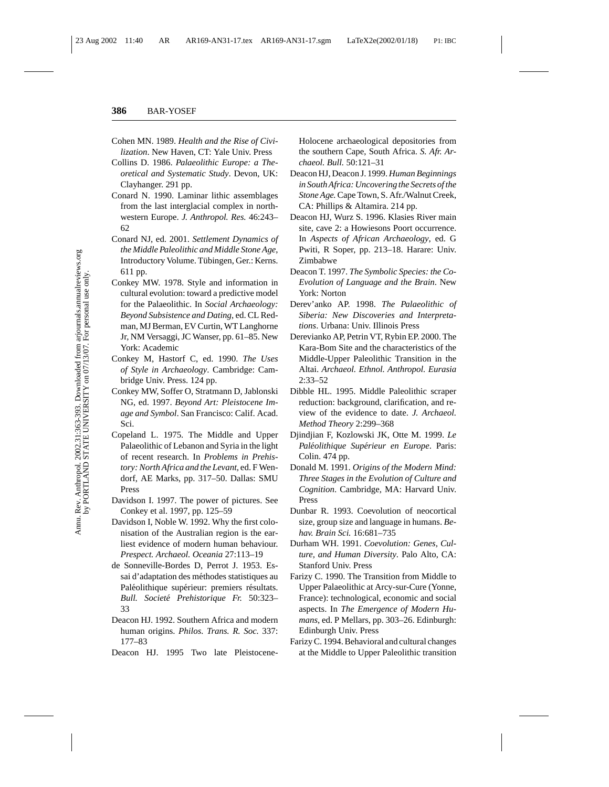- Cohen MN. 1989. *Health and the Rise of Civilization*. New Haven, CT: Yale Univ. Press
- Collins D. 1986. *Palaeolithic Europe: a Theoretical and Systematic Study*. Devon, UK: Clayhanger. 291 pp.
- Conard N. 1990. Laminar lithic assemblages from the last interglacial complex in northwestern Europe. *J. Anthropol. Res.* 46:243– 62
- Conard NJ, ed. 2001. *Settlement Dynamics of the Middle Paleolithic and Middle Stone Age*, Introductory Volume. Tübingen, Ger.: Kerns. 611 pp.
- Conkey MW. 1978. Style and information in cultural evolution: toward a predictive model for the Palaeolithic. In *Social Archaeology: Beyond Subsistence and Dating*, ed. CL Redman, MJ Berman, EV Curtin, WT Langhorne Jr, NM Versaggi, JC Wanser, pp. 61–85. New York: Academic
- Conkey M, Hastorf C, ed. 1990. *The Uses of Style in Archaeology*. Cambridge: Cambridge Univ. Press. 124 pp.
- Conkey MW, Soffer O, Stratmann D, Jablonski NG, ed. 1997. *Beyond Art: Pleistocene Image and Symbol*. San Francisco: Calif. Acad. Sci.
- Copeland L. 1975. The Middle and Upper Palaeolithic of Lebanon and Syria in the light of recent research. In *Problems in Prehistory: North Africa and the Levant*, ed. F Wendorf, AE Marks, pp. 317–50. Dallas: SMU Press
- Davidson I. 1997. The power of pictures. See Conkey et al. 1997, pp. 125–59
- Davidson I, Noble W. 1992. Why the first colonisation of the Australian region is the earliest evidence of modern human behaviour. *Prespect. Archaeol. Oceania* 27:113–19
- de Sonneville-Bordes D, Perrot J. 1953. Essai d'adaptation des méthodes statistiques au Paléolithique supérieur: premiers résultats. *Bull. Societe Prehistorique Fr. ´* 50:323– 33
- Deacon HJ. 1992. Southern Africa and modern human origins. *Philos. Trans. R. Soc.* 337: 177–83
- Deacon HJ. 1995 Two late Pleistocene-

Holocene archaeological depositories from the southern Cape, South Africa. *S. Afr. Archaeol. Bull.* 50:121–31

- Deacon HJ, Deacon J. 1999. *Human Beginnings in South Africa: Uncovering the Secrets of the Stone Age.*Cape Town, S. Afr./Walnut Creek, CA: Phillips & Altamira. 214 pp.
- Deacon HJ, Wurz S. 1996. Klasies River main site, cave 2: a Howiesons Poort occurrence. In *Aspects of African Archaeology*, ed. G Pwiti, R Soper, pp. 213–18. Harare: Univ. Zimbabwe
- Deacon T. 1997. *The Symbolic Species: the Co-Evolution of Language and the Brain*. New York: Norton
- Derev'anko AP. 1998. *The Palaeolithic of Siberia: New Discoveries and Interpretations*. Urbana: Univ. Illinois Press
- Derevianko AP, Petrin VT, Rybin EP. 2000. The Kara-Bom Site and the characteristics of the Middle-Upper Paleolithic Transition in the Altai. *Archaeol. Ethnol. Anthropol. Eurasia* 2:33–52
- Dibble HL. 1995. Middle Paleolithic scraper reduction: background, clarification, and review of the evidence to date. *J. Archaeol. Method Theory* 2:299–368
- Djindjian F, Kozlowski JK, Otte M. 1999. *Le Paléolithique Supérieur en Europe*. Paris: Colin. 474 pp.
- Donald M. 1991. *Origins of the Modern Mind: Three Stages in the Evolution of Culture and Cognition*. Cambridge, MA: Harvard Univ. Press
- Dunbar R. 1993. Coevolution of neocortical size, group size and language in humans. *Behav. Brain Sci.* 16:681–735
- Durham WH. 1991. *Coevolution: Genes, Culture, and Human Diversity*. Palo Alto, CA: Stanford Univ. Press
- Farizy C. 1990. The Transition from Middle to Upper Palaeolithic at Arcy-sur-Cure (Yonne, France): technological, economic and social aspects. In *The Emergence of Modern Humans*, ed. P Mellars, pp. 303–26. Edinburgh: Edinburgh Univ. Press
- Farizy C. 1994. Behavioral and cultural changes at the Middle to Upper Paleolithic transition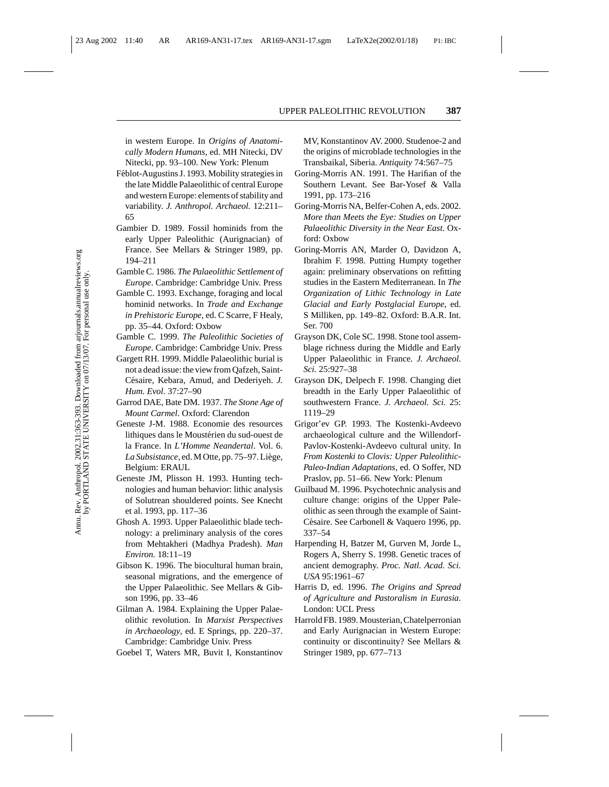in western Europe. In *Origins of Anatomically Modern Humans*, ed. MH Nitecki, DV Nitecki, pp. 93–100. New York: Plenum

- Féblot-Augustins J. 1993. Mobility strategies in the late Middle Palaeolithic of central Europe and western Europe: elements of stability and variability. *J. Anthropol. Archaeol.* 12:211– 65
- Gambier D. 1989. Fossil hominids from the early Upper Paleolithic (Aurignacian) of France. See Mellars & Stringer 1989, pp. 194–211
- Gamble C. 1986. *The Palaeolithic Settlement of Europe*. Cambridge: Cambridge Univ. Press
- Gamble C. 1993. Exchange, foraging and local hominid networks. In *Trade and Exchange in Prehistoric Europe*, ed. C Scarre, F Healy, pp. 35–44. Oxford: Oxbow
- Gamble C. 1999. *The Paleolithic Societies of Europe*. Cambridge: Cambridge Univ. Press
- Gargett RH. 1999. Middle Palaeolithic burial is not a dead issue: the view from Qafzeh, Saint-Césaire, Kebara, Amud, and Dederiyeh. *J. Hum. Evol.* 37:27–90
- Garrod DAE, Bate DM. 1937. *The Stone Age of Mount Carmel*. Oxford: Clarendon
- Geneste J-M. 1988. Economie des resources lithiques dans le Moustérien du sud-ouest de la France. In *L'Homme Neandertal*. Vol. 6. La Subsistance, ed. M Otte, pp. 75-97. Liège, Belgium: ERAUL
- Geneste JM, Plisson H. 1993. Hunting technologies and human behavior: lithic analysis of Solutrean shouldered points. See Knecht et al. 1993, pp. 117–36
- Ghosh A. 1993. Upper Palaeolithic blade technology: a preliminary analysis of the cores from Mehtakheri (Madhya Pradesh). *Man Environ.* 18:11–19
- Gibson K. 1996. The biocultural human brain, seasonal migrations, and the emergence of the Upper Palaeolithic. See Mellars & Gibson 1996, pp. 33–46
- Gilman A. 1984. Explaining the Upper Palaeolithic revolution. In *Marxist Perspectives in Archaeology*, ed. E Springs, pp. 220–37. Cambridge: Cambridge Univ. Press
- Goebel T, Waters MR, Buvit I, Konstantinov

MV, Konstantinov AV. 2000. Studenoe-2 and the origins of microblade technologies in the Transbaikal, Siberia. *Antiquity* 74:567–75

- Goring-Morris AN. 1991. The Harifian of the Southern Levant. See Bar-Yosef & Valla 1991, pp. 173–216
- Goring-Morris NA, Belfer-Cohen A, eds. 2002. *More than Meets the Eye: Studies on Upper Palaeolithic Diversity in the Near East*. Oxford: Oxbow
- Goring-Morris AN, Marder O, Davidzon A, Ibrahim F. 1998. Putting Humpty together again: preliminary observations on refitting studies in the Eastern Mediterranean. In *The Organization of Lithic Technology in Late Glacial and Early Postglacial Europe*, ed. S Milliken, pp. 149–82. Oxford: B.A.R. Int. Ser. 700
- Grayson DK, Cole SC. 1998. Stone tool assemblage richness during the Middle and Early Upper Palaeolithic in France. *J. Archaeol. Sci.* 25:927–38
- Grayson DK, Delpech F. 1998. Changing diet breadth in the Early Upper Palaeolithic of southwestern France. *J. Archaeol. Sci.* 25: 1119–29
- Grigor'ev GP. 1993. The Kostenki-Avdeevo archaeological culture and the Willendorf-Pavlov-Kostenki-Avdeevo cultural unity. In *From Kostenki to Clovis: Upper Paleolithic-Paleo-Indian Adaptations*, ed. O Soffer, ND Praslov, pp. 51–66. New York: Plenum
- Guilbaud M. 1996. Psychotechnic analysis and culture change: origins of the Upper Paleolithic as seen through the example of Saint-Césaire. See Carbonell & Vaquero 1996, pp. 337–54
- Harpending H, Batzer M, Gurven M, Jorde L, Rogers A, Sherry S. 1998. Genetic traces of ancient demography. *Proc. Natl. Acad. Sci. USA* 95:1961–67
- Harris D, ed. 1996. *The Origins and Spread of Agriculture and Pastoralism in Eurasia*. London: UCL Press
- Harrold FB. 1989. Mousterian, Chatelperronian and Early Aurignacian in Western Europe: continuity or discontinuity? See Mellars & Stringer 1989, pp. 677–713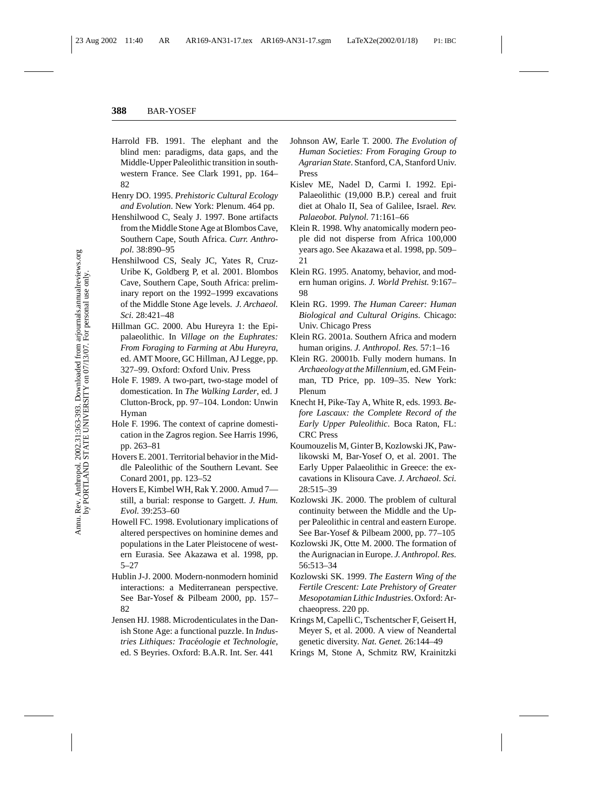- Harrold FB. 1991. The elephant and the blind men: paradigms, data gaps, and the Middle-Upper Paleolithic transition in southwestern France. See Clark 1991, pp. 164– 82
- Henry DO. 1995. *Prehistoric Cultural Ecology and Evolution*. New York: Plenum. 464 pp.
- Henshilwood C, Sealy J. 1997. Bone artifacts from the Middle Stone Age at Blombos Cave, Southern Cape, South Africa. *Curr. Anthropol.* 38:890–95
- Henshilwood CS, Sealy JC, Yates R, Cruz-Uribe K, Goldberg P, et al. 2001. Blombos Cave, Southern Cape, South Africa: preliminary report on the 1992–1999 excavations of the Middle Stone Age levels. *J. Archaeol. Sci.* 28:421–48
- Hillman GC. 2000. Abu Hureyra 1: the Epipalaeolithic. In *Village on the Euphrates: From Foraging to Farming at Abu Hureyra*, ed. AMT Moore, GC Hillman, AJ Legge, pp. 327–99. Oxford: Oxford Univ. Press
- Hole F. 1989. A two-part, two-stage model of domestication. In *The Walking Larder*, ed. J Clutton-Brock, pp. 97–104. London: Unwin Hyman
- Hole F. 1996. The context of caprine domestication in the Zagros region. See Harris 1996, pp. 263–81
- Hovers E. 2001. Territorial behavior in the Middle Paleolithic of the Southern Levant. See Conard 2001, pp. 123–52
- Hovers E, Kimbel WH, Rak Y. 2000. Amud 7 still, a burial: response to Gargett. *J. Hum. Evol.* 39:253–60
- Howell FC. 1998. Evolutionary implications of altered perspectives on hominine demes and populations in the Later Pleistocene of western Eurasia. See Akazawa et al. 1998, pp. 5–27
- Hublin J-J. 2000. Modern-nonmodern hominid interactions: a Mediterranean perspective. See Bar-Yosef & Pilbeam 2000, pp. 157– 82
- Jensen HJ. 1988. Microdenticulates in the Danish Stone Age: a functional puzzle. In *Industries Lithiques: Traceologie et Technologie ´* , ed. S Beyries. Oxford: B.A.R. Int. Ser. 441
- Johnson AW, Earle T. 2000. *The Evolution of Human Societies: From Foraging Group to Agrarian State*. Stanford, CA, Stanford Univ. Press
- Kislev ME, Nadel D, Carmi I. 1992. Epi-Palaeolithic (19,000 B.P.) cereal and fruit diet at Ohalo II, Sea of Galilee, Israel. *Rev. Palaeobot. Palynol.* 71:161–66
- Klein R. 1998. Why anatomically modern people did not disperse from Africa 100,000 years ago. See Akazawa et al. 1998, pp. 509– 21
- Klein RG. 1995. Anatomy, behavior, and modern human origins. *J. World Prehist.* 9:167– 98
- Klein RG. 1999. *The Human Career: Human Biological and Cultural Origins*. Chicago: Univ. Chicago Press
- Klein RG. 2001a. Southern Africa and modern human origins. *J. Anthropol. Res.* 57:1–16
- Klein RG. 20001b. Fully modern humans. In *Archaeology at the Millennium*, ed. GM Feinman, TD Price, pp. 109–35. New York: Plenum
- Knecht H, Pike-Tay A, White R, eds. 1993. *Before Lascaux: the Complete Record of the Early Upper Paleolithic*. Boca Raton, FL: CRC Press
- Koumouzelis M, Ginter B, Kozlowski JK, Pawlikowski M, Bar-Yosef O, et al. 2001. The Early Upper Palaeolithic in Greece: the excavations in Klisoura Cave. *J. Archaeol. Sci.* 28:515–39
- Kozlowski JK. 2000. The problem of cultural continuity between the Middle and the Upper Paleolithic in central and eastern Europe. See Bar-Yosef & Pilbeam 2000, pp. 77–105
- Kozlowski JK, Otte M. 2000. The formation of the Aurignacian in Europe. *J. Anthropol. Res.* 56:513–34
- Kozlowski SK. 1999. *The Eastern Wing of the Fertile Crescent: Late Prehistory of Greater Mesopotamian Lithic Industries*. Oxford: Archaeopress. 220 pp.
- Krings M, Capelli C, Tschentscher F, Geisert H, Meyer S, et al. 2000. A view of Neandertal genetic diversity. *Nat. Genet.* 26:144–49
- Krings M, Stone A, Schmitz RW, Krainitzki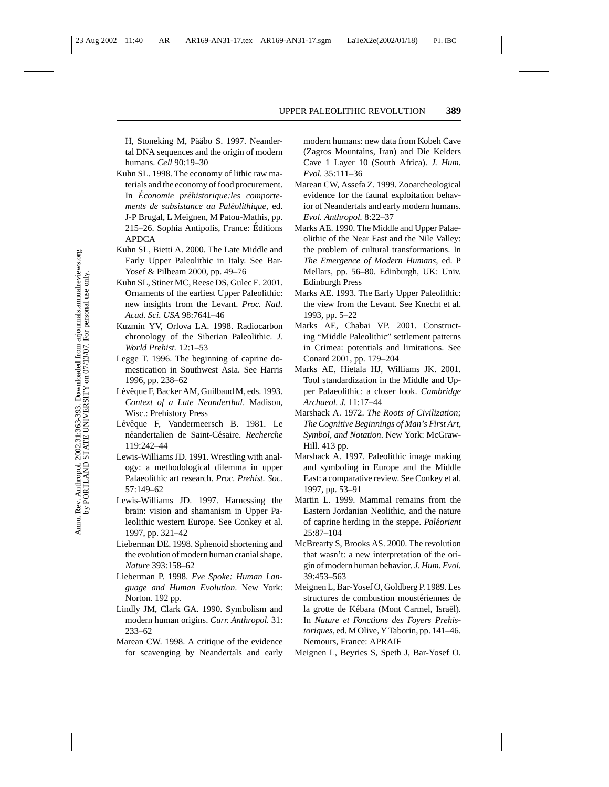H, Stoneking M, Pääbo S. 1997. Neandertal DNA sequences and the origin of modern humans. *Cell* 90:19–30

- Kuhn SL. 1998. The economy of lithic raw materials and the economy of food procurement. In *Economie préhistorique:les comportements de subsistance au Paléolithique, ed.* J-P Brugal, L Meignen, M Patou-Mathis, pp. 215–26. Sophia Antipolis, France: Editions ´ APDCA
- Kuhn SL, Bietti A. 2000. The Late Middle and Early Upper Paleolithic in Italy. See Bar-Yosef & Pilbeam 2000, pp. 49–76
- Kuhn SL, Stiner MC, Reese DS, Gulec E. 2001. Ornaments of the earliest Upper Paleolithic: new insights from the Levant. *Proc. Natl. Acad. Sci. USA* 98:7641–46
- Kuzmin YV, Orlova LA. 1998. Radiocarbon chronology of the Siberian Paleolithic. *J. World Prehist.* 12:1–53
- Legge T. 1996. The beginning of caprine domestication in Southwest Asia. See Harris 1996, pp. 238–62
- Lévêque F, Backer AM, Guilbaud M, eds. 1993. *Context of a Late Neanderthal*. Madison, Wisc.: Prehistory Press
- Lévêque F. Vandermeersch B. 1981. Le n´eandertalien de Saint-C´esaire. *Recherche* 119:242–44
- Lewis-Williams JD. 1991. Wrestling with analogy: a methodological dilemma in upper Palaeolithic art research. *Proc. Prehist. Soc.* 57:149–62
- Lewis-Williams JD. 1997. Harnessing the brain: vision and shamanism in Upper Paleolithic western Europe. See Conkey et al. 1997, pp. 321–42
- Lieberman DE. 1998. Sphenoid shortening and the evolution of modern human cranial shape. *Nature* 393:158–62
- Lieberman P. 1998. *Eve Spoke: Human Language and Human Evolution*. New York: Norton. 192 pp.
- Lindly JM, Clark GA. 1990. Symbolism and modern human origins. *Curr. Anthropol.* 31: 233–62
- Marean CW. 1998. A critique of the evidence for scavenging by Neandertals and early

modern humans: new data from Kobeh Cave (Zagros Mountains, Iran) and Die Kelders Cave 1 Layer 10 (South Africa). *J. Hum. Evol.* 35:111–36

- Marean CW, Assefa Z. 1999. Zooarcheological evidence for the faunal exploitation behavior of Neandertals and early modern humans. *Evol. Anthropol.* 8:22–37
- Marks AE. 1990. The Middle and Upper Palaeolithic of the Near East and the Nile Valley: the problem of cultural transformations. In *The Emergence of Modern Humans*, ed. P Mellars, pp. 56–80. Edinburgh, UK: Univ. Edinburgh Press
- Marks AE. 1993. The Early Upper Paleolithic: the view from the Levant. See Knecht et al. 1993, pp. 5–22
- Marks AE, Chabai VP. 2001. Constructing "Middle Paleolithic" settlement patterns in Crimea: potentials and limitations. See Conard 2001, pp. 179–204
- Marks AE, Hietala HJ, Williams JK. 2001. Tool standardization in the Middle and Upper Palaeolithic: a closer look. *Cambridge Archaeol. J.* 11:17–44
- Marshack A. 1972. *The Roots of Civilization; The Cognitive Beginnings of Man's First Art, Symbol, and Notation*. New York: McGraw-Hill. 413 pp.
- Marshack A. 1997. Paleolithic image making and symboling in Europe and the Middle East: a comparative review. See Conkey et al. 1997, pp. 53–91
- Martin L. 1999. Mammal remains from the Eastern Jordanian Neolithic, and the nature of caprine herding in the steppe. *Paleorient ´* 25:87–104
- McBrearty S, Brooks AS. 2000. The revolution that wasn't: a new interpretation of the origin of modern human behavior. *J. Hum. Evol.* 39:453–563
- Meignen L, Bar-Yosef O, Goldberg P. 1989. Les structures de combustion moustériennes de la grotte de Kébara (Mont Carmel, Israël). In *Nature et Fonctions des Foyers Prehistoriques*, ed. M Olive, Y Taborin, pp. 141–46. Nemours, France: APRAIF
- Meignen L, Beyries S, Speth J, Bar-Yosef O.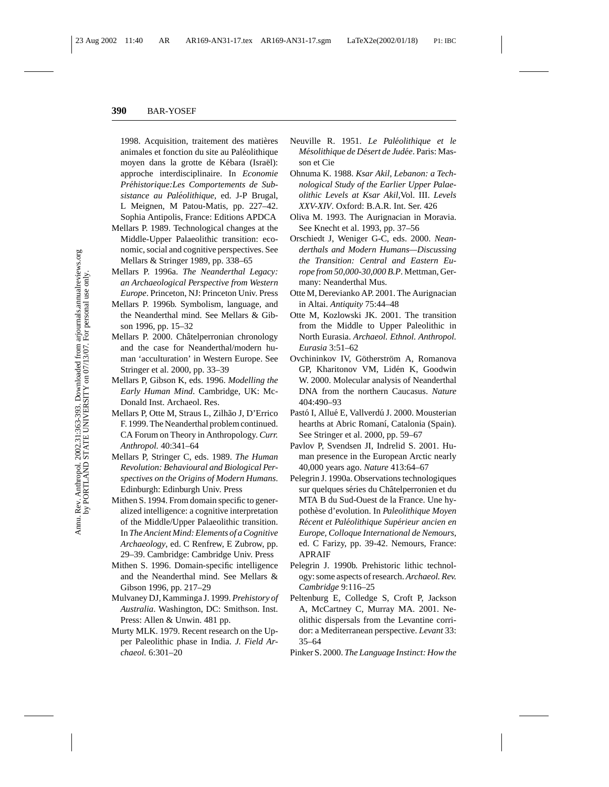1998. Acquisition, traitement des matières animales et fonction du site au Paléolithique moyen dans la grotte de Kébara (Israël): approche interdisciplinaire. In *Economie Prehistorique:Les Comportements de Sub- ´ sistance au Paleolithique ´* , ed. J-P Brugal, L Meignen, M Patou-Matis, pp. 227–42. Sophia Antipolis, France: Editions APDCA

- Mellars P. 1989. Technological changes at the Middle-Upper Palaeolithic transition: economic, social and cognitive perspectives. See Mellars & Stringer 1989, pp. 338–65
- Mellars P. 1996a. *The Neanderthal Legacy: an Archaeological Perspective from Western Europe*. Princeton, NJ: Princeton Univ. Press
- Mellars P. 1996b. Symbolism, language, and the Neanderthal mind. See Mellars & Gibson 1996, pp. 15–32
- Mellars P. 2000. Châtelperronian chronology and the case for Neanderthal/modern human 'acculturation' in Western Europe. See Stringer et al. 2000, pp. 33–39
- Mellars P, Gibson K, eds. 1996. *Modelling the Early Human Mind*. Cambridge, UK: Mc-Donald Inst. Archaeol. Res.
- Mellars P, Otte M, Straus L, Zilhão J, D'Errico F. 1999. The Neanderthal problem continued. CA Forum on Theory in Anthropology. *Curr. Anthropol.* 40:341–64
- Mellars P, Stringer C, eds. 1989. *The Human Revolution: Behavioural and Biological Perspectives on the Origins of Modern Humans*. Edinburgh: Edinburgh Univ. Press
- Mithen S. 1994. From domain specific to generalized intelligence: a cognitive interpretation of the Middle/Upper Palaeolithic transition. In *The Ancient Mind: Elements of a Cognitive Archaeology*, ed. C Renfrew, E Zubrow, pp. 29–39. Cambridge: Cambridge Univ. Press
- Mithen S. 1996. Domain-specific intelligence and the Neanderthal mind. See Mellars & Gibson 1996, pp. 217–29
- Mulvaney DJ, Kamminga J. 1999. *Prehistory of Australia*. Washington, DC: Smithson. Inst. Press: Allen & Unwin. 481 pp.
- Murty MLK. 1979. Recent research on the Upper Paleolithic phase in India. *J. Field Archaeol.* 6:301–20
- Neuville R. 1951. *Le Paleolithique et le ´ Mésolithique de Désert de Judée*. Paris: Masson et Cie
- Ohnuma K. 1988. *Ksar Akil, Lebanon: a Technological Study of the Earlier Upper Palaeolithic Levels at Ksar Akil,*Vol. III. *Levels XXV-XIV*. Oxford: B.A.R. Int. Ser. 426
- Oliva M. 1993. The Aurignacian in Moravia. See Knecht et al. 1993, pp. 37–56
- Orschiedt J, Weniger G-C, eds. 2000. *Neanderthals and Modern Humans—Discussing the Transition: Central and Eastern Europe from 50,000-30,000 B.P*. Mettman, Germany: Neanderthal Mus.
- Otte M, Derevianko AP. 2001. The Aurignacian in Altai. *Antiquity* 75:44–48
- Otte M, Kozlowski JK. 2001. The transition from the Middle to Upper Paleolithic in North Eurasia. *Archaeol. Ethnol. Anthropol. Eurasia* 3:51–62
- Ovchininkov IV, Götherström A, Romanova GP, Kharitonov VM, Lidén K, Goodwin W. 2000. Molecular analysis of Neanderthal DNA from the northern Caucasus. *Nature* 404:490–93
- Pastó I, Allué E, Vallverdú J. 2000. Mousterian hearths at Abric Romaní, Catalonia (Spain). See Stringer et al. 2000, pp. 59–67
- Pavlov P, Svendsen JI, Indrelid S. 2001. Human presence in the European Arctic nearly 40,000 years ago. *Nature* 413:64–67
- Pelegrin J. 1990a. Observations technologiques sur quelques séries du Châtelperronien et du MTA B du Sud-Ouest de la France. Une hypothèse d'evolution. In *Paleolithique Moyen Recent et Pal ´ eolithique Sup ´ erieur ancien en ´ Europe, Colloque International de Nemours*, ed. C Farizy, pp. 39-42. Nemours, France: APRAIF
- Pelegrin J. 1990b. Prehistoric lithic technology: some aspects of research. *Archaeol. Rev. Cambridge* 9:116–25
- Peltenburg E, Colledge S, Croft P, Jackson A, McCartney C, Murray MA. 2001. Neolithic dispersals from the Levantine corridor: a Mediterranean perspective. *Levant* 33: 35–64
- Pinker S. 2000. *The Language Instinct: How the*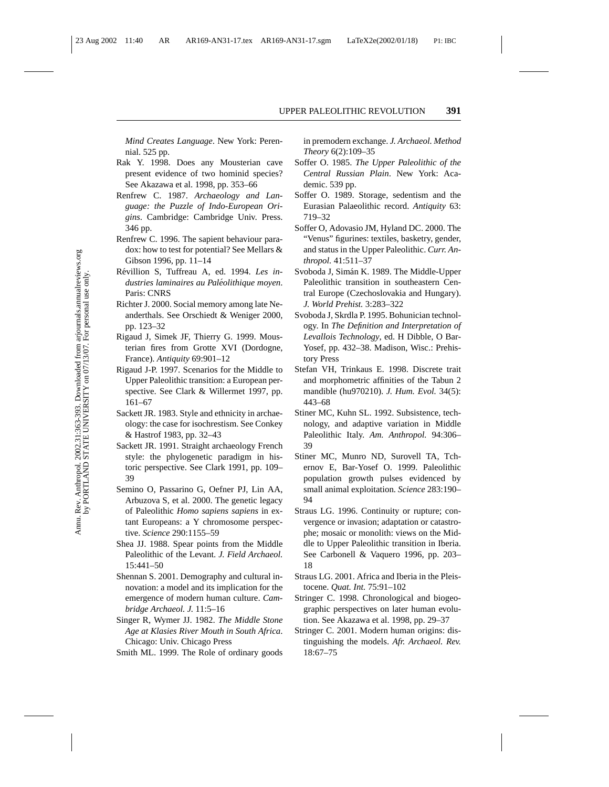*Mind Creates Language*. New York: Perennial. 525 pp.

- Rak Y. 1998. Does any Mousterian cave present evidence of two hominid species? See Akazawa et al. 1998, pp. 353–66
- Renfrew C. 1987. *Archaeology and Language: the Puzzle of Indo-European Origins*. Cambridge: Cambridge Univ. Press. 346 pp.
- Renfrew C. 1996. The sapient behaviour paradox: how to test for potential? See Mellars & Gibson 1996, pp. 11–14
- Révillion S, Tuffreau A, ed. 1994. *Les industries laminaires au Paleolithique moyen ´* . Paris: CNRS
- Richter J. 2000. Social memory among late Neanderthals. See Orschiedt & Weniger 2000, pp. 123–32
- Rigaud J, Simek JF, Thierry G. 1999. Mousterian fires from Grotte XVI (Dordogne, France). *Antiquity* 69:901–12
- Rigaud J-P. 1997. Scenarios for the Middle to Upper Paleolithic transition: a European perspective. See Clark & Willermet 1997, pp. 161–67
- Sackett JR. 1983. Style and ethnicity in archaeology: the case for isochrestism. See Conkey & Hastrof 1983, pp. 32–43
- Sackett JR. 1991. Straight archaeology French style: the phylogenetic paradigm in historic perspective. See Clark 1991, pp. 109– 39
- Semino O, Passarino G, Oefner PJ, Lin AA, Arbuzova S, et al. 2000. The genetic legacy of Paleolithic *Homo sapiens sapiens* in extant Europeans: a Y chromosome perspective. *Science* 290:1155–59
- Shea JJ. 1988. Spear points from the Middle Paleolithic of the Levant. *J. Field Archaeol.* 15:441–50
- Shennan S. 2001. Demography and cultural innovation: a model and its implication for the emergence of modern human culture. *Cambridge Archaeol. J.* 11:5–16
- Singer R, Wymer JJ. 1982. *The Middle Stone Age at Klasies River Mouth in South Africa*. Chicago: Univ. Chicago Press
- Smith ML. 1999. The Role of ordinary goods

in premodern exchange. *J. Archaeol. Method Theory* 6(2):109–35

- Soffer O. 1985. *The Upper Paleolithic of the Central Russian Plain*. New York: Academic. 539 pp.
- Soffer O. 1989. Storage, sedentism and the Eurasian Palaeolithic record. *Antiquity* 63: 719–32
- Soffer O, Adovasio JM, Hyland DC. 2000. The "Venus" figurines: textiles, basketry, gender, and status in the Upper Paleolithic. *Curr. Anthropol.* 41:511–37
- Svoboda J, Simán K. 1989. The Middle-Upper Paleolithic transition in southeastern Central Europe (Czechoslovakia and Hungary). *J. World Prehist.* 3:283–322
- Svoboda J, Skrdla P. 1995. Bohunician technology. In *The Definition and Interpretation of Levallois Technology*, ed. H Dibble, O Bar-Yosef, pp. 432–38. Madison, Wisc.: Prehistory Press
- Stefan VH, Trinkaus E. 1998. Discrete trait and morphometric affinities of the Tabun 2 mandible (hu970210). *J. Hum. Evol.* 34(5): 443–68
- Stiner MC, Kuhn SL. 1992. Subsistence, technology, and adaptive variation in Middle Paleolithic Italy. *Am. Anthropol.* 94:306– 39
- Stiner MC, Munro ND, Surovell TA, Tchernov E, Bar-Yosef O. 1999. Paleolithic population growth pulses evidenced by small animal exploitation. *Science* 283:190– 94
- Straus LG. 1996. Continuity or rupture; convergence or invasion; adaptation or catastrophe; mosaic or monolith: views on the Middle to Upper Paleolithic transition in Iberia. See Carbonell & Vaquero 1996, pp. 203– 18
- Straus LG. 2001. Africa and Iberia in the Pleistocene. *Quat. Int.* 75:91–102
- Stringer C. 1998. Chronological and biogeographic perspectives on later human evolution. See Akazawa et al. 1998, pp. 29–37
- Stringer C. 2001. Modern human origins: distinguishing the models. *Afr. Archaeol. Rev.* 18:67–75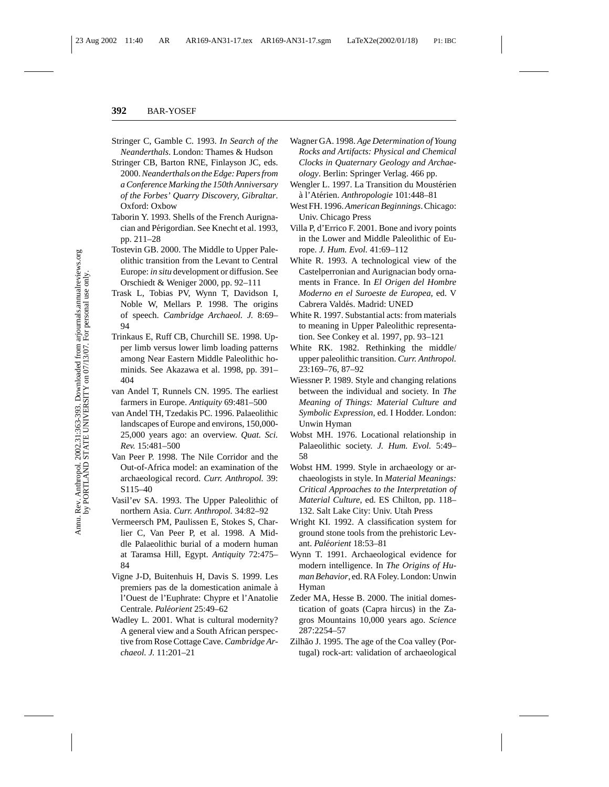- Stringer C, Gamble C. 1993. *In Search of the Neanderthals*. London: Thames & Hudson
- Stringer CB, Barton RNE, Finlayson JC, eds. 2000.*Neanderthals on the Edge: Papers from a Conference Marking the 150th Anniversary of the Forbes' Quarry Discovery, Gibraltar*. Oxford: Oxbow
- Taborin Y. 1993. Shells of the French Aurignacian and Périgordian. See Knecht et al. 1993, pp. 211–28
- Tostevin GB. 2000. The Middle to Upper Paleolithic transition from the Levant to Central Europe: *in situ* development or diffusion. See Orschiedt & Weniger 2000, pp. 92–111
- Trask L, Tobias PV, Wynn T, Davidson I, Noble W, Mellars P. 1998. The origins of speech. *Cambridge Archaeol. J.* 8:69– 94
- Trinkaus E, Ruff CB, Churchill SE. 1998. Upper limb versus lower limb loading patterns among Near Eastern Middle Paleolithic hominids. See Akazawa et al. 1998, pp. 391– 404
- van Andel T, Runnels CN. 1995. The earliest farmers in Europe. *Antiquity* 69:481–500
- van Andel TH, Tzedakis PC. 1996. Palaeolithic landscapes of Europe and environs, 150,000- 25,000 years ago: an overview. *Quat. Sci. Rev.* 15:481–500
- Van Peer P. 1998. The Nile Corridor and the Out-of-Africa model: an examination of the archaeological record. *Curr. Anthropol.* 39: S115–40
- Vasil'ev SA. 1993. The Upper Paleolithic of northern Asia. *Curr. Anthropol.* 34:82–92
- Vermeersch PM, Paulissen E, Stokes S, Charlier C, Van Peer P, et al. 1998. A Middle Palaeolithic burial of a modern human at Taramsa Hill, Egypt. *Antiquity* 72:475– 84
- Vigne J-D, Buitenhuis H, Davis S. 1999. Les premiers pas de la domestication animale à l'Ouest de l'Euphrate: Chypre et l'Anatolie Centrale. *Paleorient ´* 25:49–62
- Wadley L. 2001. What is cultural modernity? A general view and a South African perspective from Rose Cottage Cave. *Cambridge Archaeol. J.* 11:201–21
- Wagner GA. 1998. *Age Determination of Young Rocks and Artifacts: Physical and Chemical Clocks in Quaternary Geology and Archaeology*. Berlin: Springer Verlag. 466 pp.
- Wengler L. 1997. La Transition du Moustérien a l'At´ ` erien. *Anthropologie* 101:448–81
- West FH. 1996.*American Beginnings*. Chicago: Univ. Chicago Press
- Villa P, d'Errico F. 2001. Bone and ivory points in the Lower and Middle Paleolithic of Europe. *J. Hum. Evol.* 41:69–112
- White R. 1993. A technological view of the Castelperronian and Aurignacian body ornaments in France. In *El Origen del Hombre Moderno en el Suroeste de Europea*, ed. V Cabrera Valdés. Madrid: UNED
- White R. 1997. Substantial acts: from materials to meaning in Upper Paleolithic representation. See Conkey et al. 1997, pp. 93–121
- White RK. 1982. Rethinking the middle/ upper paleolithic transition. *Curr. Anthropol.* 23:169–76, 87–92
- Wiessner P. 1989. Style and changing relations between the individual and society. In *The Meaning of Things: Material Culture and Symbolic Expression*, ed. I Hodder. London: Unwin Hyman
- Wobst MH. 1976. Locational relationship in Palaeolithic society. *J. Hum. Evol.* 5:49– 58
- Wobst HM. 1999. Style in archaeology or archaeologists in style. In *Material Meanings: Critical Approaches to the Interpretation of Material Culture*, ed. ES Chilton, pp. 118– 132. Salt Lake City: Univ. Utah Press
- Wright KI. 1992. A classification system for ground stone tools from the prehistoric Levant. *Paleorient ´* 18:53–81
- Wynn T. 1991. Archaeological evidence for modern intelligence. In *The Origins of Human Behavior*, ed. RA Foley. London: Unwin Hyman
- Zeder MA, Hesse B. 2000. The initial domestication of goats (Capra hircus) in the Zagros Mountains 10,000 years ago. *Science* 287:2254–57
- Zilhão J. 1995. The age of the Coa valley (Portugal) rock-art: validation of archaeological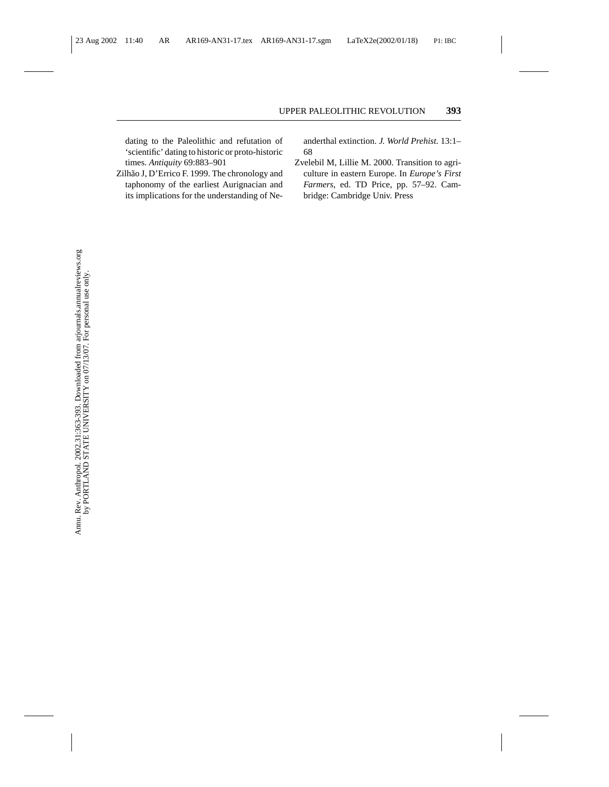dating to the Paleolithic and refutation of 'scientific' dating to historic or proto-historic times. *Antiquity* 69:883–901

Zilhão J, D'Errico F. 1999. The chronology and taphonomy of the earliest Aurignacian and its implications for the understanding of Neanderthal extinction. *J. World Prehist.* 13:1– 68

Zvelebil M, Lillie M. 2000. Transition to agriculture in eastern Europe. In *Europe's First Farmers*, ed. TD Price, pp. 57–92. Cambridge: Cambridge Univ. Press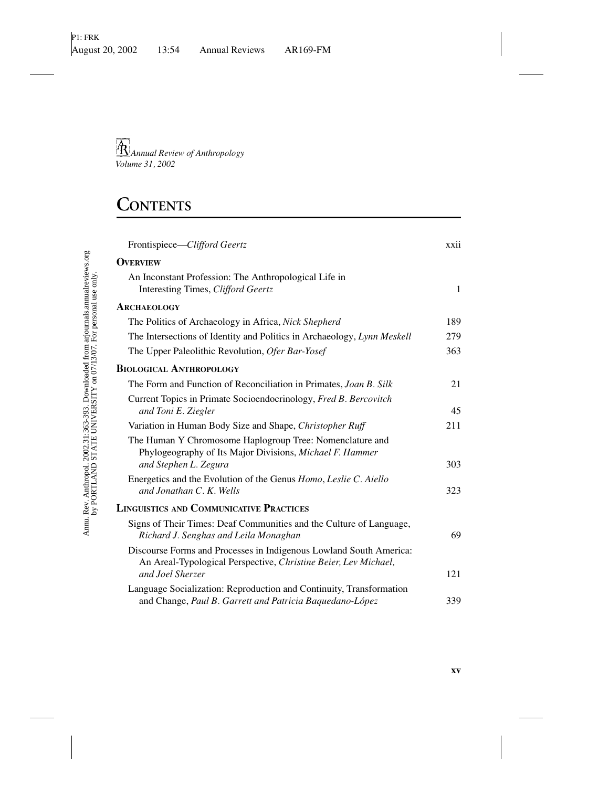# **CONTENTS**

| Frontispiece-Clifford Geertz                                                                                                                  | xxii         |
|-----------------------------------------------------------------------------------------------------------------------------------------------|--------------|
| <b>OVERVIEW</b>                                                                                                                               |              |
| An Inconstant Profession: The Anthropological Life in<br>Interesting Times, Clifford Geertz                                                   | $\mathbf{1}$ |
| ARCHAEOLOGY                                                                                                                                   |              |
| The Politics of Archaeology in Africa, Nick Shepherd                                                                                          | 189          |
| The Intersections of Identity and Politics in Archaeology, Lynn Meskell                                                                       | 279          |
| The Upper Paleolithic Revolution, Ofer Bar-Yosef                                                                                              | 363          |
| <b>BIOLOGICAL ANTHROPOLOGY</b>                                                                                                                |              |
| The Form and Function of Reconciliation in Primates, Joan B. Silk                                                                             | 21           |
| Current Topics in Primate Socioendocrinology, Fred B. Bercovitch<br>and Toni E. Ziegler                                                       | 45           |
| Variation in Human Body Size and Shape, Christopher Ruff                                                                                      | 211          |
| The Human Y Chromosome Haplogroup Tree: Nomenclature and<br>Phylogeography of Its Major Divisions, Michael F. Hammer<br>and Stephen L. Zegura | 303          |
| Energetics and the Evolution of the Genus Homo, Leslie C. Aiello<br>and Jonathan C. K. Wells                                                  | 323          |
| <b>LINGUISTICS AND COMMUNICATIVE PRACTICES</b>                                                                                                |              |
| Signs of Their Times: Deaf Communities and the Culture of Language,<br>Richard J. Senghas and Leila Monaghan                                  | 69           |
| Discourse Forms and Processes in Indigenous Lowland South America:<br>An Areal-Typological Perspective, Christine Beier, Lev Michael,         |              |
| and Joel Sherzer                                                                                                                              | 121          |
| Language Socialization: Reproduction and Continuity, Transformation<br>and Change, Paul B. Garrett and Patricia Baquedano-López               | 339          |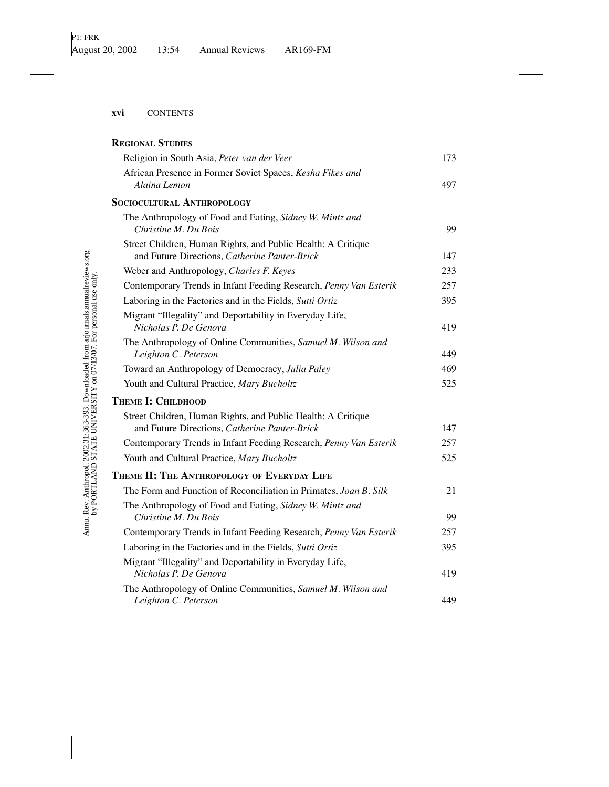| <b>REGIONAL STUDIES</b>                                                                                       |     |
|---------------------------------------------------------------------------------------------------------------|-----|
| Religion in South Asia, Peter van der Veer                                                                    | 173 |
| African Presence in Former Soviet Spaces, Kesha Fikes and<br>Alaina Lemon                                     | 497 |
| <b>SOCIOCULTURAL ANTHROPOLOGY</b>                                                                             |     |
| The Anthropology of Food and Eating, Sidney W. Mintz and<br>Christine M. Du Bois                              | 99  |
| Street Children, Human Rights, and Public Health: A Critique<br>and Future Directions, Catherine Panter-Brick | 147 |
| Weber and Anthropology, Charles F. Keyes                                                                      | 233 |
| Contemporary Trends in Infant Feeding Research, Penny Van Esterik                                             | 257 |
| Laboring in the Factories and in the Fields, Sutti Ortiz                                                      | 395 |
| Migrant "Illegality" and Deportability in Everyday Life,<br>Nicholas P. De Genova                             | 419 |
| The Anthropology of Online Communities, Samuel M. Wilson and<br>Leighton C. Peterson                          | 449 |
| Toward an Anthropology of Democracy, Julia Paley                                                              | 469 |
| Youth and Cultural Practice, Mary Bucholtz                                                                    | 525 |
| <b>THEME I: CHILDHOOD</b>                                                                                     |     |
| Street Children, Human Rights, and Public Health: A Critique<br>and Future Directions, Catherine Panter-Brick | 147 |
| Contemporary Trends in Infant Feeding Research, Penny Van Esterik                                             | 257 |
| Youth and Cultural Practice, Mary Bucholtz                                                                    | 525 |
| THEME II: THE ANTHROPOLOGY OF EVERYDAY LIFE                                                                   |     |
| The Form and Function of Reconciliation in Primates, Joan B. Silk                                             | 21  |
| The Anthropology of Food and Eating, Sidney W. Mintz and<br>Christine M. Du Bois                              | 99  |
| Contemporary Trends in Infant Feeding Research, Penny Van Esterik                                             | 257 |
| Laboring in the Factories and in the Fields, Sutti Ortiz                                                      | 395 |
| Migrant "Illegality" and Deportability in Everyday Life,<br>Nicholas P. De Genova                             | 419 |
| The Anthropology of Online Communities, Samuel M. Wilson and<br>Leighton C. Peterson                          | 449 |